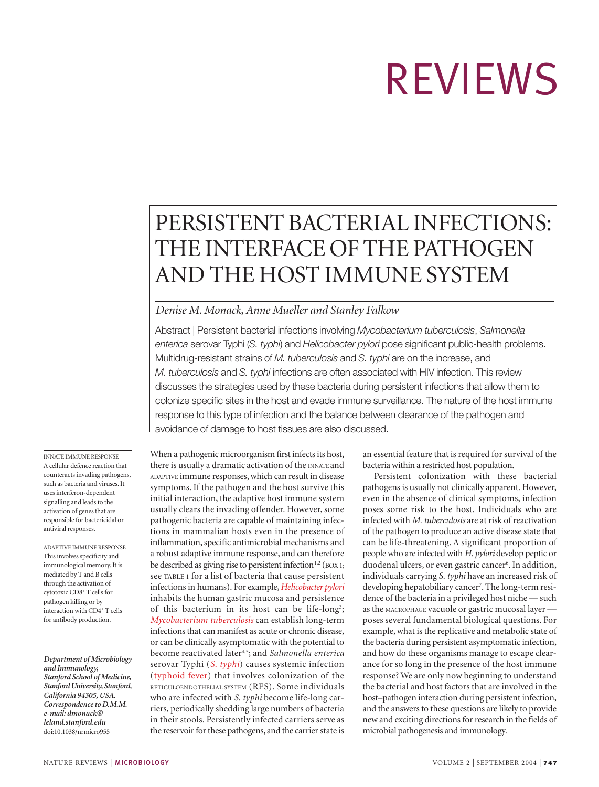# REVIEWS

## PERSISTENT BACTERIAL INFECTIONS: THE INTERFACE OF THE PATHOGEN AND THE HOST IMMUNE SYSTEM

#### *Denise M. Monack, Anne Mueller and Stanley Falkow*

Abstract | Persistent bacterial infections involving *Mycobacterium tuberculosis*, *Salmonella enterica* serovar Typhi (*S. typhi*) and *Helicobacter pylori* pose significant public-health problems. Multidrug-resistant strains of *M. tuberculosis* and *S. typhi* are on the increase, and *M. tuberculosis* and *S. typhi* infections are often associated with HIV infection. This review discusses the strategies used by these bacteria during persistent infections that allow them to colonize specific sites in the host and evade immune surveillance. The nature of the host immune response to this type of infection and the balance between clearance of the pathogen and avoidance of damage to host tissues are also discussed.

INNATE IMMUNE RESPONSE A cellular defence reaction that counteracts invading pathogens, such as bacteria and viruses. It uses interferon-dependent signalling and leads to the activation of genes that are responsible for bactericidal or antiviral responses.

ADAPTIVE IMMUNE RESPONSE This involves specificity and immunological memory. It is mediated by T and B cells through the activation of cytotoxic CD8+ T cells for pathogen killing or by interaction with CD4+ T cells for antibody production.

*Department of Microbiology and Immunology, Stanford School of Medicine, Stanford University, Stanford, California 94305, USA. Correspondence to D.M.M. e-mail: dmonack@ leland.stanford.edu* doi:10.1038/nrmicro955

When a pathogenic microorganism first infects its host, there is usually a dramatic activation of the INNATE and ADAPTIVE immune responses, which can result in disease symptoms. If the pathogen and the host survive this initial interaction, the adaptive host immune system usually clears the invading offender. However, some pathogenic bacteria are capable of maintaining infections in mammalian hosts even in the presence of inflammation, specific antimicrobial mechanisms and a robust adaptive immune response, and can therefore be described as giving rise to persistent infection<sup>1,2</sup> (BOX 1; see TABLE 1 for a list of bacteria that cause persistent infections in humans). For example,*Helicobacter pylori* inhabits the human gastric mucosa and persistence of this bacterium in its host can be life-long<sup>3</sup>; *Mycobacterium tuberculosis* can establish long-term infections that can manifest as acute or chronic disease, or can be clinically asymptomatic with the potential to become reactivated later4,5; and *Salmonella enterica* serovar Typhi (*S. typhi*) causes systemic infection (typhoid fever) that involves colonization of the RETICULOENDOTHELIAL SYSTEM (RES). Some individuals who are infected with *S. typhi* become life-long carriers, periodically shedding large numbers of bacteria in their stools. Persistently infected carriers serve as the reservoir for these pathogens, and the carrier state is an essential feature that is required for survival of the bacteria within a restricted host population.

Persistent colonization with these bacterial pathogens is usually not clinically apparent. However, even in the absence of clinical symptoms, infection poses some risk to the host. Individuals who are infected with *M. tuberculosis* are at risk of reactivation of the pathogen to produce an active disease state that can be life-threatening. A significant proportion of people who are infected with *H. pylori* develop peptic or duodenal ulcers, or even gastric cancer<sup>6</sup>. In addition, individuals carrying *S. typhi* have an increased risk of developing hepatobiliary cancer7 . The long-term residence of the bacteria in a privileged host niche — such as the MACROPHAGE vacuole or gastric mucosal layer poses several fundamental biological questions. For example, what is the replicative and metabolic state of the bacteria during persistent asymptomatic infection, and how do these organisms manage to escape clearance for so long in the presence of the host immune response? We are only now beginning to understand the bacterial and host factors that are involved in the host–pathogen interaction during persistent infection, and the answers to these questions are likely to provide new and exciting directions for research in the fields of microbial pathogenesis and immunology.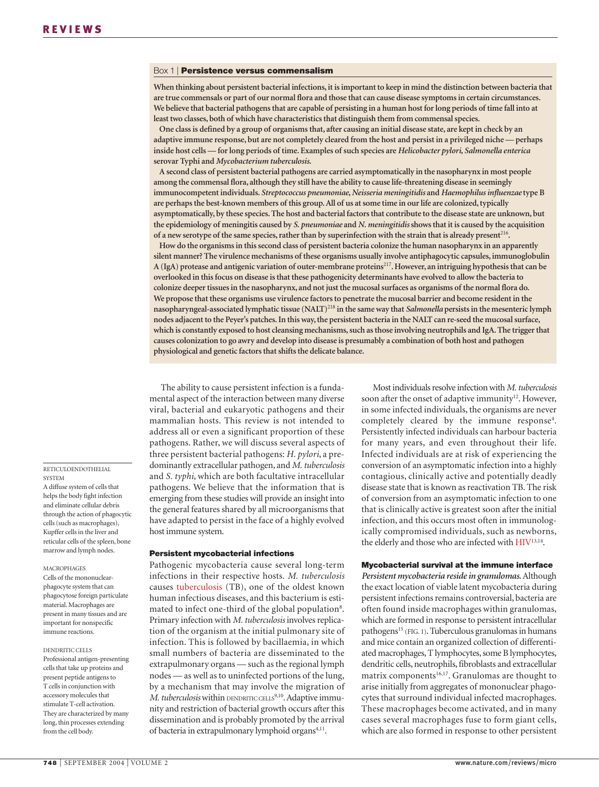#### Box 1 | **Persistence versus commensalism**

**When thinking about persistent bacterial infections, it is important to keep in mind the distinction between bacteria that are true commensals or part of our normal flora and those that can cause disease symptoms in certain circumstances. We believe that bacterial pathogens that are capable of persisting in a human host for long periods of time fall into at least two classes, both of which have characteristics that distinguish them from commensal species.**

**One class is defined by a group of organisms that, after causing an initial disease state, are kept in check by an adaptive immune response, but are not completely cleared from the host and persist in a privileged niche — perhaps inside host cells — for long periods of time. Examples of such species are** *Helicobacter pylori***,** *Salmonella enterica* **serovar Typhi and** *Mycobacterium tuberculosis***.**

**A second class of persistent bacterial pathogens are carried asymptomatically in the nasopharynx in most people among the commensal flora, although they still have the ability to cause life-threatening disease in seemingly immunocompetent individuals.** *Streptococcus pneumoniae***,***Neisseria meningitidis* **and** *Haemophilus influenzae* **type B are perhaps the best-known members of this group. All of us at some time in our life are colonized, typically asymptomatically, by these species. The host and bacterial factors that contribute to the disease state are unknown, but the epidemiology of meningitis caused by** *S. pneumoniae* **and** *N. meningitidis***shows that it is caused by the acquisition of a new serotype of the same species, rather than by superinfection with the strain that is already present**<sup>216</sup>**.**

**How do the organisms in this second class of persistent bacteria colonize the human nasopharynx in an apparently silent manner? The virulence mechanisms of these organisms usually involve antiphagocytic capsules, immunoglobulin A (IgA) protease and antigenic variation of outer-membrane proteins**<sup>217</sup>**. However, an intriguing hypothesis that can be overlooked in this focus on disease is that these pathogenicity determinants have evolved to allow the bacteria to colonize deeper tissues in the nasopharynx, and not just the mucosal surfaces as organisms of the normal flora do. We propose that these organisms use virulence factors to penetrate the mucosal barrier and become resident in the nasopharyngeal-associated lymphatic tissue (NALT)**<sup>218</sup> **in the same way that** *Salmonella* **persists in the mesenteric lymph nodes adjacent to the Peyer's patches. In this way, the persistent bacteria in the NALT can re-seed the mucosal surface, which is constantly exposed to host cleansing mechanisms, such as those involving neutrophils and IgA. The trigger that causes colonization to go awry and develop into disease is presumably a combination of both host and pathogen physiological and genetic factors that shifts the delicate balance.**

The ability to cause persistent infection is a fundamental aspect of the interaction between many diverse viral, bacterial and eukaryotic pathogens and their mammalian hosts. This review is not intended to address all or even a significant proportion of these pathogens. Rather, we will discuss several aspects of three persistent bacterial pathogens: *H. pylori*, a predominantly extracellular pathogen, and *M. tuberculosis* and *S. typhi*, which are both facultative intracellular pathogens. We believe that the information that is emerging from these studies will provide an insight into the general features shared by all microorganisms that have adapted to persist in the face of a highly evolved host immune system.

#### **Persistent mycobacterial infections**

Pathogenic mycobacteria cause several long-term infections in their respective hosts. *M. tuberculosis* causes tuberculosis (TB), one of the oldest known human infectious diseases, and this bacterium is estimated to infect one-third of the global population<sup>8</sup>. Primary infection with *M. tuberculosis* involves replication of the organism at the initial pulmonary site of infection. This is followed by bacillaemia, in which small numbers of bacteria are disseminated to the extrapulmonary organs — such as the regional lymph nodes — as well as to uninfected portions of the lung, by a mechanism that may involve the migration of *M. tuberculosis* within DENDRITIC CELLS<sup>9,10</sup>. Adaptive immunity and restriction of bacterial growth occurs after this dissemination and is probably promoted by the arrival of bacteria in extrapulmonary lymphoid organs<sup>4,11</sup>.

Most individuals resolve infection with *M. tuberculosis* soon after the onset of adaptive immunity<sup>12</sup>. However, in some infected individuals, the organisms are never completely cleared by the immune response<sup>4</sup>. Persistently infected individuals can harbour bacteria for many years, and even throughout their life. Infected individuals are at risk of experiencing the conversion of an asymptomatic infection into a highly contagious, clinically active and potentially deadly disease state that is known as reactivation TB. The risk of conversion from an asymptomatic infection to one that is clinically active is greatest soon after the initial infection, and this occurs most often in immunologically compromised individuals, such as newborns, the elderly and those who are infected with HIV13,14.

#### **Mycobacterial survival at the immune interface**

*Persistent mycobacteria reside in granulomas.*Although the exact location of viable latent mycobacteria during persistent infections remains controversial, bacteria are often found inside macrophages within granulomas, which are formed in response to persistent intracellular pathogens<sup>15</sup> (FIG. 1). Tuberculous granulomas in humans and mice contain an organized collection of differentiated macrophages, T lymphocytes, some B lymphocytes, dendritic cells, neutrophils, fibroblasts and extracellular matrix components<sup>16,17</sup>. Granulomas are thought to arise initially from aggregates of mononuclear phagocytes that surround individual infected macrophages. These macrophages become activated, and in many cases several macrophages fuse to form giant cells, which are also formed in response to other persistent

#### RETICULOENDOTHELIAL **SVSTEM** A diffuse system of cells that

helps the body fight infection and eliminate cellular debris through the action of phagocytic cells (such as macrophages), Kupffer cells in the liver and reticular cells of the spleen, bone marrow and lymph nodes.

#### MACROPHAGES

Cells of the mononuclearphagocyte system that can phagocytose foreign particulate material. Macrophages are present in many tissues and are important for nonspecific immune reactions.

#### DENDRITIC CELLS

Professional antigen-presenting cells that take up proteins and present peptide antigens to T cells in conjunction with accessory molecules that stimulate T-cell activation. They are characterized by many long, thin processes extending from the cell body.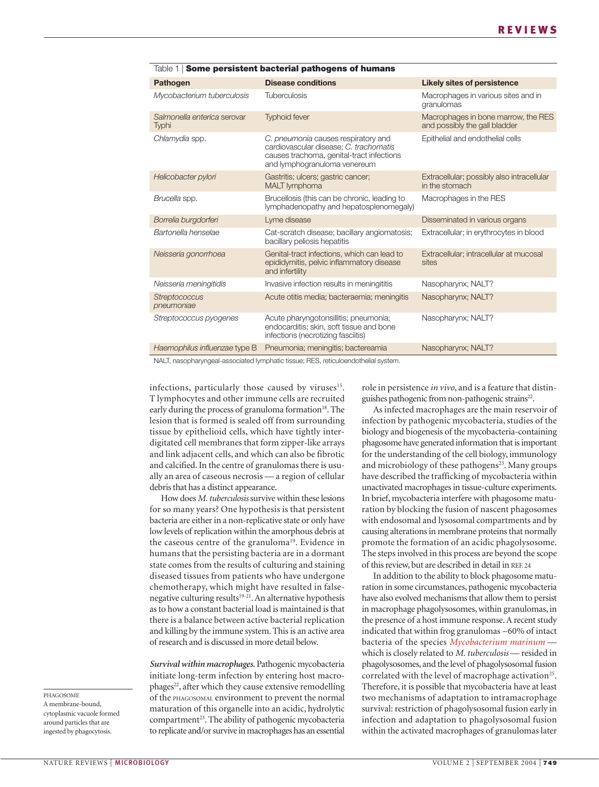| lable <b>i i some persistent pacterial pathogens of numans</b> |                                                                                                                                                            |                                                                      |  |  |  |  |
|----------------------------------------------------------------|------------------------------------------------------------------------------------------------------------------------------------------------------------|----------------------------------------------------------------------|--|--|--|--|
| <b>Pathogen</b>                                                | <b>Disease conditions</b>                                                                                                                                  | <b>Likely sites of persistence</b>                                   |  |  |  |  |
| Mycobacterium tuberculosis                                     | <b>Tuberculosis</b>                                                                                                                                        | Macrophages in various sites and in<br>granulomas                    |  |  |  |  |
| Salmonella enterica serovar<br>Typhi                           | <b>Typhoid fever</b>                                                                                                                                       | Macrophages in bone marrow, the RES<br>and possibly the gall bladder |  |  |  |  |
| Chlamydia spp.                                                 | C. pneumonia causes respiratory and<br>cardiovascular disease; C. trachomatis<br>causes trachoma, genital-tract infections<br>and lymphogranuloma venereum | Epithelial and endothelial cells                                     |  |  |  |  |
| Helicobacter pylori                                            | Gastritis; ulcers; gastric cancer;<br><b>MALT</b> lymphoma                                                                                                 | Extracellular; possibly also intracellular<br>in the stomach         |  |  |  |  |
| Brucella spp.                                                  | Brucellosis (this can be chronic, leading to<br>lymphadenopathy and hepatosplenomegaly)                                                                    | Macrophages in the RES                                               |  |  |  |  |
| Borrelia burgdorferi                                           | Lyme disease                                                                                                                                               | Disseminated in various organs                                       |  |  |  |  |
| Bartonella henselae                                            | Cat-scratch disease; bacillary angiomatosis;<br>bacillary peliosis hepatitis                                                                               | Extracellular; in erythrocytes in blood                              |  |  |  |  |
| Neisseria gonorrhoea                                           | Genital-tract infections, which can lead to<br>epididymitis, pelvic inflammatory disease<br>and infertility                                                | Extracellular; intracellular at mucosal<br>sites                     |  |  |  |  |
| Neisseria meningitidis                                         | Invasive infection results in meningititis                                                                                                                 | Nasopharynx; NALT?                                                   |  |  |  |  |
| <b>Streptococcus</b><br>pneumoniae                             | Acute otitis media; bacteraemia; meningitis                                                                                                                | Nasopharynx; NALT?                                                   |  |  |  |  |
| Streptococcus pyogenes                                         | Acute pharyngotonsillitis; pneumonia;<br>endocarditis; skin, soft tissue and bone<br>infections (necrotizing fasciitis)                                    | Nasopharynx; NALT?                                                   |  |  |  |  |
| Haemophilus influenzae type B                                  | Pneumonia; meningitis; bactereamia                                                                                                                         | Nasopharynx; NALT?                                                   |  |  |  |  |

Table 1 | **Some persistent bacterial pathogens of humans**

NALT, nasopharyngeal-associated lymphatic tissue; RES, reticuloendothelial system.

infections, particularly those caused by viruses<sup>15</sup>. T lymphocytes and other immune cells are recruited early during the process of granuloma formation<sup>18</sup>. The lesion that is formed is sealed off from surrounding tissue by epithelioid cells, which have tightly interdigitated cell membranes that form zipper-like arrays and link adjacent cells, and which can also be fibrotic and calcified. In the centre of granulomas there is usually an area of caseous necrosis — a region of cellular debris that has a distinct appearance.

How does *M. tuberculosis*survive within these lesions for so many years? One hypothesis is that persistent bacteria are either in a non-replicative state or only have low levels of replication within the amorphous debris at the caseous centre of the granuloma<sup>19</sup>. Evidence in humans that the persisting bacteria are in a dormant state comes from the results of culturing and staining diseased tissues from patients who have undergone chemotherapy, which might have resulted in falsenegative culturing results<sup>19-21</sup>. An alternative hypothesis as to how a constant bacterial load is maintained is that there is a balance between active bacterial replication and killing by the immune system. This is an active area of research and is discussed in more detail below.

*Survival within macrophages.* Pathogenic mycobacteria initiate long-term infection by entering host macrophages<sup>22</sup>, after which they cause extensive remodelling of the PHAGOSOMAL environment to prevent the normal maturation of this organelle into an acidic, hydrolytic compartment<sup>23</sup>. The ability of pathogenic mycobacteria to replicate and/or survive in macrophages has an essential role in persistence *in vivo*, and is a feature that distinguishes pathogenic from non-pathogenic strains<sup>22</sup>.

As infected macrophages are the main reservoir of infection by pathogenic mycobacteria, studies of the biology and biogenesis of the mycobacteria-containing phagosome have generated information that is important for the understanding of the cell biology, immunology and microbiology of these pathogens<sup>23</sup>. Many groups have described the trafficking of mycobacteria within unactivated macrophages in tissue-culture experiments. In brief, mycobacteria interfere with phagosome maturation by blocking the fusion of nascent phagosomes with endosomal and lysosomal compartments and by causing alterations in membrane proteins that normally promote the formation of an acidic phagolysosome. The steps involved in this process are beyond the scope of this review, but are described in detail in REF. 24

In addition to the ability to block phagosome maturation in some circumstances, pathogenic mycobacteria have also evolved mechanisms that allow them to persist in macrophage phagolysosomes, within granulomas, in the presence of a host immune response. A recent study indicated that within frog granulomas ~60% of intact bacteria of the species *Mycobacterium marinum* which is closely related to *M. tuberculosis* — resided in phagolysosomes, and the level of phagolysosomal fusion correlated with the level of macrophage activation<sup>25</sup>. Therefore, it is possible that mycobacteria have at least two mechanisms of adaptation to intramacrophage survival: restriction of phagolysosomal fusion early in infection and adaptation to phagolysosomal fusion within the activated macrophages of granulomas later

PHAGOSOME A membrane-bound, cytoplasmic vacuole formed around particles that are ingested by phagocytosis.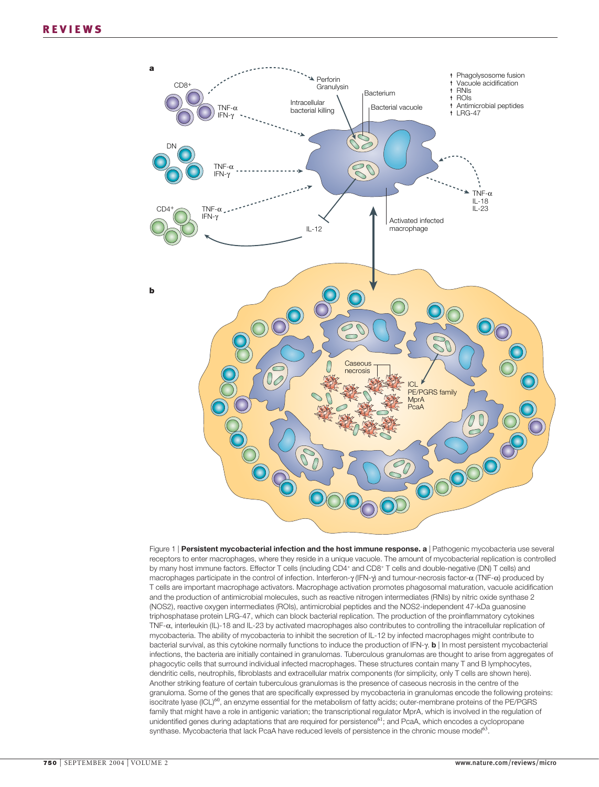

Figure 1 | **Persistent mycobacterial infection and the host immune response. a** | Pathogenic mycobacteria use several receptors to enter macrophages, where they reside in a unique vacuole. The amount of mycobacterial replication is controlled by many host immune factors. Effector T cells (including CD4<sup>+</sup> and CD8<sup>+</sup> T cells and double-negative (DN) T cells) and macrophages participate in the control of infection. Interferon-γ (IFN-γ) and tumour-necrosis factor-α (TNF-α) produced by T cells are important macrophage activators. Macrophage activation promotes phagosomal maturation, vacuole acidification and the production of antimicrobial molecules, such as reactive nitrogen intermediates (RNIs) by nitric oxide synthase 2 (NOS2), reactive oxygen intermediates (ROIs), antimicrobial peptides and the NOS2-independent 47-kDa guanosine triphosphatase protein LRG-47, which can block bacterial replication. The production of the proinflammatory cytokines TNF-α, interleukin (IL)-18 and IL-23 by activated macrophages also contributes to controlling the intracellular replication of mycobacteria. The ability of mycobacteria to inhibit the secretion of IL-12 by infected macrophages might contribute to bacterial survival, as this cytokine normally functions to induce the production of IFN-γ. **b** | In most persistent mycobacterial infections, the bacteria are initially contained in granulomas. Tuberculous granulomas are thought to arise from aggregates of phagocytic cells that surround individual infected macrophages. These structures contain many T and B lymphocytes, dendritic cells, neutrophils, fibroblasts and extracellular matrix components (for simplicity, only T cells are shown here). Another striking feature of certain tuberculous granulomas is the presence of caseous necrosis in the centre of the granuloma. Some of the genes that are specifically expressed by mycobacteria in granulomas encode the following proteins: isocitrate lyase (ICL)60, an enzyme essential for the metabolism of fatty acids; outer-membrane proteins of the PE/PGRS family that might have a role in antigenic variation; the transcriptional regulator MprA, which is involved in the regulation of unidentified genes during adaptations that are required for persistence<sup>61</sup>; and PcaA, which encodes a cyclopropane synthase. Mycobacteria that lack PcaA have reduced levels of persistence in the chronic mouse model<sup>63</sup>.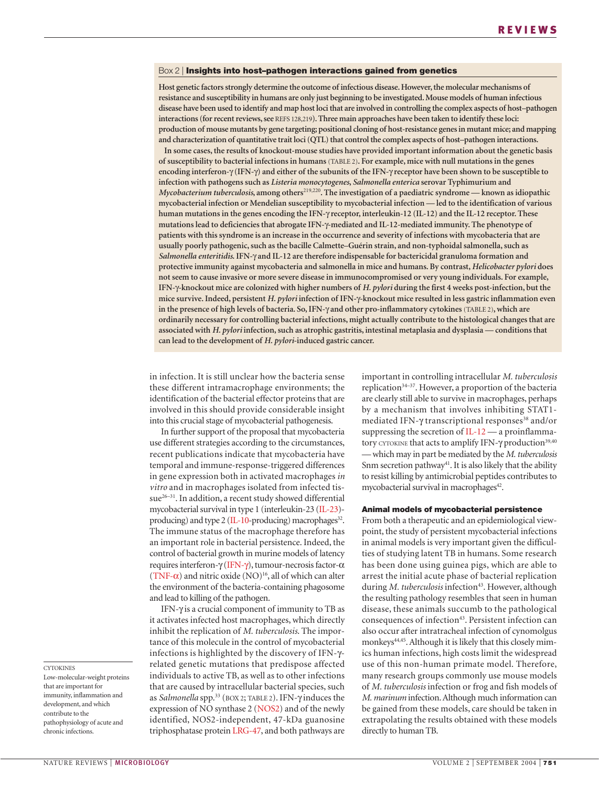#### Box 2 | **Insights into host–pathogen interactions gained from genetics**

**Host genetic factors strongly determine the outcome of infectious disease. However, the molecular mechanisms of resistance and susceptibility in humans are only just beginning to be investigated. Mouse models of human infectious disease have been used to identify and map host loci that are involved in controlling the complex aspects of host–pathogen interactions (for recent reviews, see** REFS 128,219**). Three main approaches have been taken to identify these loci: production of mouse mutants by gene targeting; positional cloning of host-resistance genes in mutant mice; and mapping and characterization of quantitative trait loci (QTL) that control the complex aspects of host–pathogen interactions.**

**In some cases, the results of knockout-mouse studies have provided important information about the genetic basis of susceptibility to bacterial infections in humans** (TABLE 2)**. For example, mice with null mutations in the genes encoding interferon-**γ **(IFN-**γ**) and either of the subunits of the IFN-**γ **receptor have been shown to be susceptible to infection with pathogens such as** *Listeria monocytogenes***,** *Salmonella enterica* **serovar Typhimurium and** *Mycobacterium tuberculosis***, among others**219,220**. The investigation of a paediatric syndrome — known as idiopathic mycobacterial infection or Mendelian susceptibility to mycobacterial infection — led to the identification of various human mutations in the genes encoding the IFN-**γ **receptor, interleukin-12 (IL-12) and the IL-12 receptor. These mutations lead to deficiencies that abrogate IFN-**γ**-mediated and IL-12-mediated immunity. The phenotype of patients with this syndrome is an increase in the occurrence and severity of infections with mycobacteria that are usually poorly pathogenic, such as the bacille Calmette–Guérin strain, and non-typhoidal salmonella, such as** *Salmonella enteritidis***. IFN-**γ **and IL-12 are therefore indispensable for bactericidal granuloma formation and protective immunity against mycobacteria and salmonella in mice and humans. By contrast,** *Helicobacter pylori* **does not seem to cause invasive or more severe disease in immunocompromised or very young individuals. For example, IFN-**γ**-knockout mice are colonized with higher numbers of** *H. pylori* **during the first 4 weeks post-infection, but the mice survive. Indeed, persistent** *H. pylori* **infection of IFN-**γ**-knockout mice resulted in less gastric inflammation even in the presence of high levels of bacteria. So, IFN-**γ **and other pro-inflammatory cytokines** (TABLE 2)**, which are ordinarily necessary for controlling bacterial infections, might actually contribute to the histological changes that are associated with** *H. pylori* **infection, such as atrophic gastritis, intestinal metaplasia and dysplasia — conditions that can lead to the development of** *H. pylori***-induced gastric cancer.**

in infection. It is still unclear how the bacteria sense these different intramacrophage environments; the identification of the bacterial effector proteins that are involved in this should provide considerable insight into this crucial stage of mycobacterial pathogenesis.

In further support of the proposal that mycobacteria use different strategies according to the circumstances, recent publications indicate that mycobacteria have temporal and immune-response-triggered differences in gene expression both in activated macrophages *in vitro* and in macrophages isolated from infected tissue<sup>26–31</sup>. In addition, a recent study showed differential mycobacterial survival in type 1 (interleukin-23 (IL-23) producing) and type 2 ( $IL-10$ -producing) macrophages<sup>32</sup>. The immune status of the macrophage therefore has an important role in bacterial persistence. Indeed, the control of bacterial growth in murine models of latency requires interferon-γ (IFN-γ), tumour-necrosis factor-α (TNF- $\alpha$ ) and nitric oxide (NO)<sup>16</sup>, all of which can alter the environment of the bacteria-containing phagosome and lead to killing of the pathogen.

IFN-γ is a crucial component of immunity to TB as it activates infected host macrophages, which directly inhibit the replication of *M. tuberculosis*. The importance of this molecule in the control of mycobacterial infections is highlighted by the discovery of IFN-γrelated genetic mutations that predispose affected individuals to active TB, as well as to other infections that are caused by intracellular bacterial species, such as *Salmonella* spp.33 (BOX 2; TABLE 2). IFN-γ induces the expression of NO synthase 2 (NOS2) and of the newly identified, NOS2-independent, 47-kDa guanosine triphosphatase protein LRG-47, and both pathways are important in controlling intracellular *M. tuberculosis* replication34–37. However, a proportion of the bacteria are clearly still able to survive in macrophages, perhaps by a mechanism that involves inhibiting STAT1 mediated IFN-γ transcriptional responses<sup>38</sup> and/or suppressing the secretion of  $IL-12$  — a proinflammatory CYTOKINE that acts to amplify IFN-γ production<sup>39,40</sup> — which may in part be mediated by the *M. tuberculosis* Snm secretion pathway<sup>41</sup>. It is also likely that the ability to resist killing by antimicrobial peptides contributes to mycobacterial survival in macrophages<sup>42</sup>.

#### **Animal models of mycobacterial persistence**

From both a therapeutic and an epidemiological viewpoint, the study of persistent mycobacterial infections in animal models is very important given the difficulties of studying latent TB in humans. Some research has been done using guinea pigs, which are able to arrest the initial acute phase of bacterial replication during *M. tuberculosis* infection<sup>43</sup>. However, although the resulting pathology resembles that seen in human disease, these animals succumb to the pathological consequences of infection<sup>43</sup>. Persistent infection can also occur after intratracheal infection of cynomolgus monkeys<sup>44,45</sup>. Although it is likely that this closely mimics human infections, high costs limit the widespread use of this non-human primate model. Therefore, many research groups commonly use mouse models of *M. tuberculosis* infection or frog and fish models of *M. marinum* infection. Although much information can be gained from these models, care should be taken in extrapolating the results obtained with these models directly to human TB.

**CYTOKINES** 

Low-molecular-weight proteins that are important for immunity, inflammation and development, and which contribute to the pathophysiology of acute and chronic infections.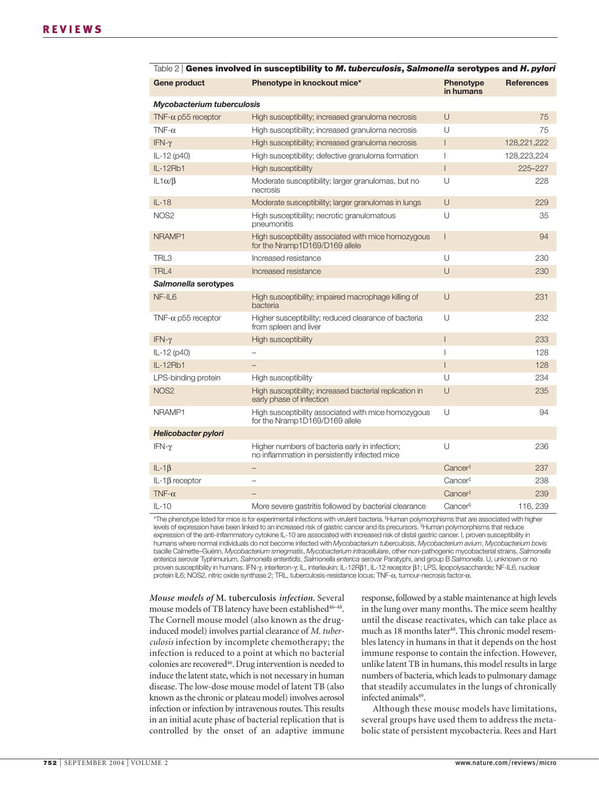| Gene product               | Phenotype in knockout mice*                                                                     | Phenotype<br>in humans   | <b>References</b> |  |  |
|----------------------------|-------------------------------------------------------------------------------------------------|--------------------------|-------------------|--|--|
| Mycobacterium tuberculosis |                                                                                                 |                          |                   |  |  |
| TNF- $\alpha$ p55 receptor | High susceptibility; increased granuloma necrosis                                               | $\cup$                   | 75                |  |  |
| TNF- $\alpha$              | High susceptibility; increased granuloma necrosis                                               | U                        | 75                |  |  |
| IFN- $\gamma$              | High susceptibility; increased granuloma necrosis                                               | $\overline{\phantom{a}}$ | 128,221,222       |  |  |
| IL-12 (p40)                | High susceptibility; defective granuloma formation                                              | $\overline{1}$           | 128,223,224       |  |  |
| IL-12Rb1                   | High susceptibility                                                                             | $\overline{1}$           | 225-227           |  |  |
| $IL1\alpha/\beta$          | Moderate susceptibility; larger granulomas, but no<br>necrosis                                  | U                        | 228               |  |  |
| $IL-18$                    | Moderate susceptibility; larger granulomas in lungs                                             | U                        | 229               |  |  |
| NOS <sub>2</sub>           | High susceptibility; necrotic granulomatous<br>pneumonitis                                      | U                        | 35                |  |  |
| NRAMP1                     | High susceptibility associated with mice homozygous<br>for the Nramp1D169/D169 allele           | $\mathsf{I}$             | 94                |  |  |
| TRL3                       | Increased resistance                                                                            | U                        | 230               |  |  |
| TRL4                       | Increased resistance                                                                            | U                        | 230               |  |  |
| Salmonella serotypes       |                                                                                                 |                          |                   |  |  |
| $NF$ -IL6                  | High susceptibility; impaired macrophage killing of<br>bacteria                                 | $\cup$                   | 231               |  |  |
| TNF- $\alpha$ p55 receptor | Higher susceptibility; reduced clearance of bacteria<br>from spleen and liver                   | U                        | 232               |  |  |
| IFN- $\gamma$              | <b>High susceptibility</b>                                                                      | $\overline{1}$           | 233               |  |  |
| IL-12 (p40)                |                                                                                                 | $\overline{1}$           | 128               |  |  |
| IL-12Rb1                   |                                                                                                 | $\overline{1}$           | 128               |  |  |
| LPS-binding protein        | High susceptibility                                                                             | $\cup$                   | 234               |  |  |
| NOS <sub>2</sub>           | High susceptibility; increased bacterial replication in<br>early phase of infection             | U                        | 235               |  |  |
| NRAMP1                     | High susceptibility associated with mice homozygous<br>for the Nramp1D169/D169 allele           | U                        | 94                |  |  |
| <b>Helicobacter pylori</b> |                                                                                                 |                          |                   |  |  |
| IFN- $\gamma$              | Higher numbers of bacteria early in infection;<br>no inflammation in persistently infected mice | U                        | 236               |  |  |
| $IL-1\beta$                | $-$                                                                                             | Cancer <sup>#</sup>      | 237               |  |  |
| $IL-1\beta$ receptor       | ۳                                                                                               | Cancer <sup>#</sup>      | 238               |  |  |
| TNF- $\alpha$              |                                                                                                 | Cancer <sup>#</sup>      | 239               |  |  |
| $IL-10$                    | More severe gastritis followed by bacterial clearance                                           | Cancer <sup>§</sup>      | 116, 239          |  |  |

| <code>Table</code> <code>2</code>   Genes involved in susceptibility to M. tuberculosis, Salmonella serotypes and H. pylori |  |  |  |
|-----------------------------------------------------------------------------------------------------------------------------|--|--|--|
|-----------------------------------------------------------------------------------------------------------------------------|--|--|--|

\*The phenotype listed for mice is for experimental infections with virulent bacteria. ‡ Human polymorphisms that are associated with higher levels of expression have been linked to an increased risk of gastric cancer and its precursors. § Human polymorphisms that reduce expression of the anti-inflammatory cytokine IL-10 are associated with increased risk of distal gastric cancer. I, proven susceptibility in humans where normal individuals do not become infected with *Mycobacterium tuberculosis*, *Mycobacterium avium*, *Mycobacterium bovis* bacille Calmette–Guérin, *Mycobacterium smegmatis*, *Mycobacterium intracellulare*, other non-pathogenic mycobacterial strains, *Salmonella enterica* serovar Typhimurium, *Salmonella enteritidis*, *Salmonella enterica* serovar Paratyphi, and group B *Salmonella*. U, unknown or no proven susceptibility in humans. IFN-γ, interferon-γ; IL, interleukin; IL-12Rβ1, IL-12 receptor β1; LPS, lipopolysaccharide; NF-IL6, nuclear protein IL6; NOS2, nitric oxide synthase 2; TRL, tuberculosis-resistance locus; TNF-α, tumour-necrosis factor-α.

*Mouse models of* **M. tuberculosis** *infection.* Several mouse models of TB latency have been established<sup>46-48</sup>. The Cornell mouse model (also known as the druginduced model) involves partial clearance of *M. tuberculosis* infection by incomplete chemotherapy; the infection is reduced to a point at which no bacterial colonies are recovered<sup>46</sup>. Drug intervention is needed to induce the latent state, which is not necessary in human disease. The low-dose mouse model of latent TB (also known as the chronic or plateau model) involves aerosol infection or infection by intravenous routes. This results in an initial acute phase of bacterial replication that is controlled by the onset of an adaptive immune response, followed by a stable maintenance at high levels in the lung over many months. The mice seem healthy until the disease reactivates, which can take place as much as 18 months later<sup>48</sup>. This chronic model resembles latency in humans in that it depends on the host immune response to contain the infection. However, unlike latent TB in humans, this model results in large numbers of bacteria, which leads to pulmonary damage that steadily accumulates in the lungs of chronically infected animals<sup>49</sup>.

Although these mouse models have limitations, several groups have used them to address the metabolic state of persistent mycobacteria. Rees and Hart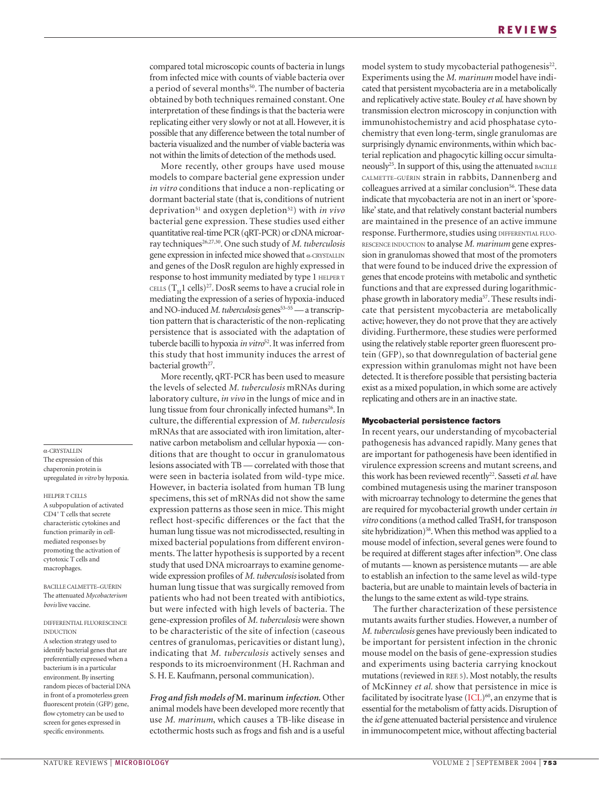compared total microscopic counts of bacteria in lungs from infected mice with counts of viable bacteria over a period of several months<sup>50</sup>. The number of bacteria obtained by both techniques remained constant. One interpretation of these findings is that the bacteria were replicating either very slowly or not at all. However, it is possible that any difference between the total number of bacteria visualized and the number of viable bacteria was not within the limits of detection of the methods used.

More recently, other groups have used mouse models to compare bacterial gene expression under *in vitro* conditions that induce a non-replicating or dormant bacterial state (that is, conditions of nutrient deprivation51 and oxygen depletion52) with *in vivo* bacterial gene expression. These studies used either quantitative real-time PCR (qRT-PCR) or cDNA microarray techniques<sup>26,27,30</sup>. One such study of *M. tuberculosis* gene expression in infected mice showed that <sup>α</sup>-CRYSTALLIN and genes of the DosR regulon are highly expressed in response to host immunity mediated by type 1 HELPER T CELLS  $(T_H1$  cells)<sup>27</sup>. DosR seems to have a crucial role in mediating the expression of a series of hypoxia-induced and NO-induced *M. tuberculosis* genes<sup>53-55</sup> — a transcription pattern that is characteristic of the non-replicating persistence that is associated with the adaptation of tubercle bacilli to hypoxia *in vitro*52. It was inferred from this study that host immunity induces the arrest of bacterial growth<sup>27</sup>.

More recently, qRT-PCR has been used to measure the levels of selected *M. tuberculosis* mRNAs during laboratory culture, *in vivo* in the lungs of mice and in lung tissue from four chronically infected humans<sup>26</sup>. In culture, the differential expression of *M. tuberculosis* mRNAs that are associated with iron limitation, alternative carbon metabolism and cellular hypoxia — conditions that are thought to occur in granulomatous lesions associated with TB — correlated with those that were seen in bacteria isolated from wild-type mice. However, in bacteria isolated from human TB lung specimens, this set of mRNAs did not show the same expression patterns as those seen in mice. This might reflect host-specific differences or the fact that the human lung tissue was not microdissected, resulting in mixed bacterial populations from different environments. The latter hypothesis is supported by a recent study that used DNA microarrays to examine genomewide expression profiles of *M. tuberculosis* isolated from human lung tissue that was surgically removed from patients who had not been treated with antibiotics, but were infected with high levels of bacteria. The gene-expression profiles of *M. tuberculosis* were shown to be characteristic of the site of infection (caseous centres of granulomas, pericavities or distant lung), indicating that *M. tuberculosis* actively senses and responds to its microenvironment (H. Rachman and S. H. E. Kaufmann, personal communication).

*Frog and fish models of* **M. marinum** *infection.* Other animal models have been developed more recently that use *M. marinum*, which causes a TB-like disease in ectothermic hosts such as frogs and fish and is a useful model system to study mycobacterial pathogenesis<sup>22</sup>. Experiments using the *M. marinum* model have indicated that persistent mycobacteria are in a metabolically and replicatively active state. Bouley *et al.* have shown by transmission electron microscopy in conjunction with immunohistochemistry and acid phosphatase cytochemistry that even long-term, single granulomas are surprisingly dynamic environments, within which bacterial replication and phagocytic killing occur simultaneously<sup>25</sup>. In support of this, using the attenuated BACILLE CALMETTE–GUÉRIN strain in rabbits, Dannenberg and colleagues arrived at a similar conclusion<sup>56</sup>. These data indicate that mycobacteria are not in an inert or 'sporelike' state, and that relatively constant bacterial numbers are maintained in the presence of an active immune response. Furthermore, studies using DIFFERENTIAL FLUO-RESCENCE INDUCTION to analyse *M. marinum* gene expression in granulomas showed that most of the promoters that were found to be induced drive the expression of genes that encode proteins with metabolic and synthetic functions and that are expressed during logarithmicphase growth in laboratory media57. These results indicate that persistent mycobacteria are metabolically active; however, they do not prove that they are actively dividing. Furthermore, these studies were performed using the relatively stable reporter green fluorescent protein (GFP), so that downregulation of bacterial gene expression within granulomas might not have been detected. It is therefore possible that persisting bacteria exist as a mixed population, in which some are actively replicating and others are in an inactive state.

#### **Mycobacterial persistence factors**

In recent years, our understanding of mycobacterial pathogenesis has advanced rapidly. Many genes that are important for pathogenesis have been identified in virulence expression screens and mutant screens, and this work has been reviewed recently<sup>22</sup>. Sasseti et al. have combined mutagenesis using the mariner transposon with microarray technology to determine the genes that are required for mycobacterial growth under certain *in vitro* conditions (a method called TraSH, for transposon site hybridization)<sup>58</sup>. When this method was applied to a mouse model of infection, several genes were found to be required at different stages after infection<sup>59</sup>. One class of mutants — known as persistence mutants — are able to establish an infection to the same level as wild-type bacteria, but are unable to maintain levels of bacteria in the lungs to the same extent as wild-type strains.

The further characterization of these persistence mutants awaits further studies. However, a number of *M. tuberculosis* genes have previously been indicated to be important for persistent infection in the chronic mouse model on the basis of gene-expression studies and experiments using bacteria carrying knockout mutations (reviewed in REF. 5). Most notably, the results of McKinney *et al.* show that persistence in mice is facilitated by isocitrate lyase  $(ICL)^{60}$ , an enzyme that is essential for the metabolism of fatty acids. Disruption of the *icl* gene attenuated bacterial persistence and virulence in immunocompetent mice, without affecting bacterial

### The expression of this

α-CRYSTALLIN

chaperonin protein is upregulated *in vitro* by hypoxia.

HELPER T CELLS A subpopulation of activated CD4+ T cells that secrete characteristic cytokines and function primarily in cellmediated responses by promoting the activation of cytotoxic T cells and macrophages.

BACILLE CALMETTE–GUÉRIN The attenuated *Mycobacterium bovis* live vaccine.

#### DIFFERENTIAL FLUORESCENCE INDUCTION

A selection strategy used to identify bacterial genes that are preferentially expressed when a bacterium is in a particular environment. By inserting random pieces of bacterial DNA in front of a promoterless green fluorescent protein (GFP) gene, flow cytometry can be used to screen for genes expressed in specific environments.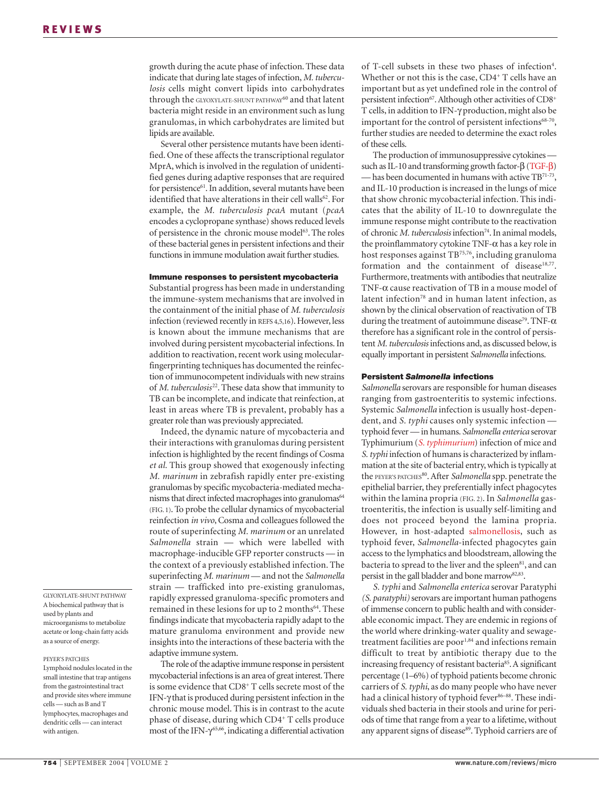growth during the acute phase of infection. These data indicate that during late stages of infection, *M. tuberculosis* cells might convert lipids into carbohydrates through the GLYOXYLATE-SHUNT PATHWAY<sup>60</sup> and that latent bacteria might reside in an environment such as lung granulomas, in which carbohydrates are limited but lipids are available.

Several other persistence mutants have been identified. One of these affects the transcriptional regulator MprA, which is involved in the regulation of unidentified genes during adaptive responses that are required for persistence<sup>61</sup>. In addition, several mutants have been identified that have alterations in their cell walls<sup>62</sup>. For example, the *M. tuberculosis pcaA* mutant (*pcaA* encodes a cyclopropane synthase) shows reduced levels of persistence in the chronic mouse model<sup>63</sup>. The roles of these bacterial genes in persistent infections and their functions in immune modulation await further studies.

#### **Immune responses to persistent mycobacteria**

Substantial progress has been made in understanding the immune-system mechanisms that are involved in the containment of the initial phase of *M. tuberculosis* infection (reviewed recently in REFS 4,5,16). However, less is known about the immune mechanisms that are involved during persistent mycobacterial infections. In addition to reactivation, recent work using molecularfingerprinting techniques has documented the reinfection of immunocompetent individuals with new strains of *M. tuberculosis*<sup>22</sup>. These data show that immunity to TB can be incomplete, and indicate that reinfection, at least in areas where TB is prevalent, probably has a greater role than was previously appreciated.

Indeed, the dynamic nature of mycobacteria and their interactions with granulomas during persistent infection is highlighted by the recent findings of Cosma *et al.* This group showed that exogenously infecting *M. marinum* in zebrafish rapidly enter pre-existing granulomas by specific mycobacteria-mediated mechanisms that direct infected macrophages into granulomas<sup>64</sup> (FIG. 1). To probe the cellular dynamics of mycobacterial reinfection *in vivo*, Cosma and colleagues followed the route of superinfecting *M. marinum* or an unrelated *Salmonella* strain — which were labelled with macrophage-inducible GFP reporter constructs — in the context of a previously established infection. The superinfecting *M. marinum* — and not the *Salmonella* strain — trafficked into pre-existing granulomas, rapidly expressed granuloma-specific promoters and remained in these lesions for up to 2 months<sup>64</sup>. These findings indicate that mycobacteria rapidly adapt to the mature granuloma environment and provide new insights into the interactions of these bacteria with the adaptive immune system.

The role of the adaptive immune response in persistent mycobacterial infections is an area of great interest. There is some evidence that CD8<sup>+</sup> T cells secrete most of the IFN-γ that is produced during persistent infection in the chronic mouse model. This is in contrast to the acute phase of disease, during which CD4<sup>+</sup> T cells produce most of the IFN- $\gamma^{65,66}$ , indicating a differential activation

of T-cell subsets in these two phases of infection<sup>4</sup>. Whether or not this is the case,  $CD4^+$  T cells have an important but as yet undefined role in the control of persistent infection<sup>67</sup>. Although other activities of CD8<sup>+</sup> T cells, in addition to IFN-γ production, might also be important for the control of persistent infections $68-70$ , further studies are needed to determine the exact roles of these cells.

The production of immunosuppressive cytokines such as IL-10 and transforming growth factor-β (TGF-β) — has been documented in humans with active TB71-73, and IL-10 production is increased in the lungs of mice that show chronic mycobacterial infection. This indicates that the ability of IL-10 to downregulate the immune response might contribute to the reactivation of chronic *M. tuberculosis* infection<sup>74</sup>. In animal models, the proinflammatory cytokine TNF- $α$  has a key role in host responses against TB75,76, including granuloma formation and the containment of disease<sup>18,77</sup>. Furthermore, treatments with antibodies that neutralize TNF- $\alpha$  cause reactivation of TB in a mouse model of latent infection<sup>78</sup> and in human latent infection, as shown by the clinical observation of reactivation of TB during the treatment of autoimmune disease<sup>79</sup>. TNF- $\alpha$ therefore has a significant role in the control of persistent *M. tuberculosis* infections and, as discussed below, is equally important in persistent *Salmonella* infections.

#### **Persistent** *Salmonella* **infections**

*Salmonella* serovars are responsible for human diseases ranging from gastroenteritis to systemic infections. Systemic *Salmonella* infection is usually host-dependent, and *S. typhi* causes only systemic infection typhoid fever — in humans. *Salmonella enterica* serovar Typhimurium (*S. typhimurium*) infection of mice and *S. typhi* infection of humans is characterized by inflammation at the site of bacterial entry, which is typically at the PEYER'S PATCHES<sup>80</sup>. After *Salmonella* spp. penetrate the epithelial barrier, they preferentially infect phagocytes within the lamina propria (FIG. 2). In *Salmonella* gastroenteritis, the infection is usually self-limiting and does not proceed beyond the lamina propria. However, in host-adapted salmonellosis, such as typhoid fever, *Salmonella*-infected phagocytes gain access to the lymphatics and bloodstream, allowing the bacteria to spread to the liver and the spleen<sup>81</sup>, and can persist in the gall bladder and bone marrow<sup>82,83</sup>.

*S. typhi* and *Salmonella enterica* serovar Paratyphi *(S. paratyphi)* serovars are important human pathogens of immense concern to public health and with considerable economic impact. They are endemic in regions of the world where drinking-water quality and sewagetreatment facilities are poor<sup>1,84</sup> and infections remain difficult to treat by antibiotic therapy due to the increasing frequency of resistant bacteria<sup>85</sup>. A significant percentage (1–6%) of typhoid patients become chronic carriers of *S. typhi*, as do many people who have never had a clinical history of typhoid fever<sup>86–88</sup>. These individuals shed bacteria in their stools and urine for periods of time that range from a year to a lifetime, without any apparent signs of disease<sup>89</sup>. Typhoid carriers are of

GLYOXYLATE-SHUNT PATHWAY A biochemical pathway that is used by plants and microorganisms to metabolize acetate or long-chain fatty acids as a source of energy.

PEYER'S PATCHES Lymphoid nodules located in the small intestine that trap antigens from the gastrointestinal tract and provide sites where immune cells — such as B and T lymphocytes, macrophages and dendritic cells — can interact with antigen.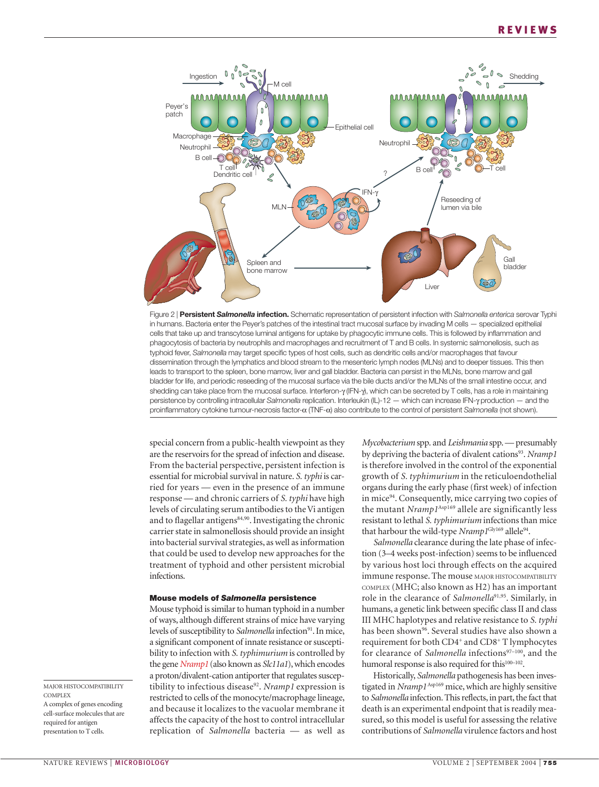



special concern from a public-health viewpoint as they are the reservoirs for the spread of infection and disease. From the bacterial perspective, persistent infection is essential for microbial survival in nature. *S. typhi* is carried for years — even in the presence of an immune response — and chronic carriers of *S. typhi* have high levels of circulating serum antibodies to the Vi antigen and to flagellar antigens<sup>84,90</sup>. Investigating the chronic carrier state in salmonellosis should provide an insight into bacterial survival strategies, as well as information that could be used to develop new approaches for the treatment of typhoid and other persistent microbial infections.

#### **Mouse models of** *Salmonella* **persistence**

Mouse typhoid is similar to human typhoid in a number of ways, although different strains of mice have varying levels of susceptibility to *Salmonella* infection<sup>91</sup>. In mice, a significant component of innate resistance or susceptibility to infection with *S. typhimurium* is controlled by the gene *Nramp1* (also known as *Slc11a1*), which encodes a proton/divalent-cation antiporter that regulates susceptibility to infectious disease<sup>92</sup>. *Nramp1* expression is restricted to cells of the monocyte/macrophage lineage, and because it localizes to the vacuolar membrane it affects the capacity of the host to control intracellular replication of *Salmonella* bacteria — as well as *Mycobacterium* spp. and *Leishmania* spp. — presumably by depriving the bacteria of divalent cations<sup>93</sup>. *Nramp1* is therefore involved in the control of the exponential growth of *S. typhimurium* in the reticuloendothelial organs during the early phase (first week) of infection in mice<sup>94</sup>. Consequently, mice carrying two copies of the mutant *Nramp1*Asp169 allele are significantly less resistant to lethal *S. typhimurium* infections than mice that harbour the wild-type *Nramp1*<sup>Gly169</sup> allele<sup>94</sup>.

*Salmonella* clearance during the late phase of infection (3–4 weeks post-infection) seems to be influenced by various host loci through effects on the acquired immune response. The mouse MAJOR HISTOCOMPATIBILITY COMPLEX (MHC; also known as H2) has an important role in the clearance of *Salmonella*91,95. Similarly, in humans, a genetic link between specific class II and class III MHC haplotypes and relative resistance to *S. typhi* has been shown<sup>96</sup>. Several studies have also shown a requirement for both CD4+ and CD8+ T lymphocytes for clearance of *Salmonella* infections<sup>97–100</sup>, and the humoral response is also required for this<sup>100-102</sup>.

Historically, *Salmonella* pathogenesis has been investigated in *Nramp1*<sup>Asp169</sup> mice, which are highly sensitive to *Salmonella* infection. This reflects, in part, the fact that death is an experimental endpoint that is readily measured, so this model is useful for assessing the relative contributions of *Salmonella* virulence factors and host

MAJOR HISTOCOMPATIBILITY **COMPLEX** A complex of genes encoding cell-surface molecules that are required for antigen presentation to T cells.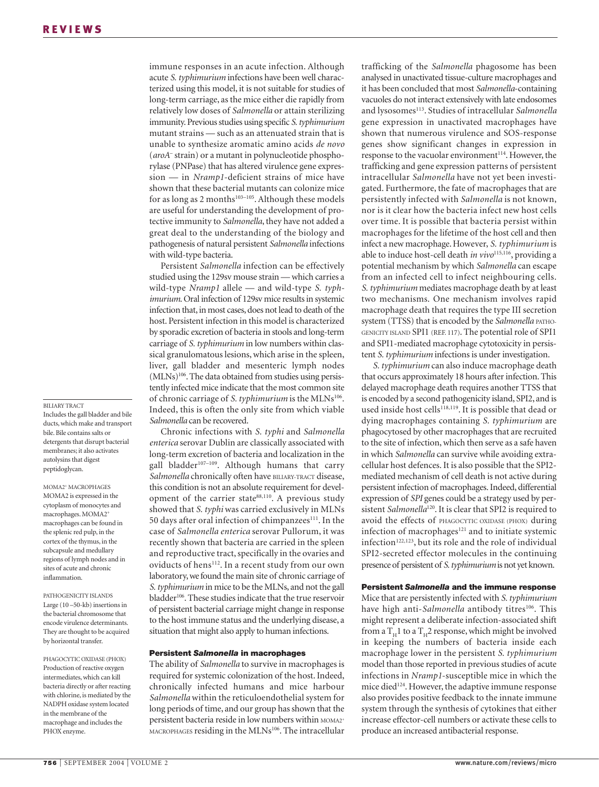#### BILIARY TRACT

Includes the gall bladder and bile ducts, which make and transport bile. Bile contains salts or detergents that disrupt bacterial membranes; it also activates autolysins that digest peptidoglycan.

MOMA<sub>2<sup>+</sup></sub> MACROPHAGES MOMA2 is expressed in the cytoplasm of monocytes and macrophages. MOMA2+ macrophages can be found in the splenic red pulp, in the cortex of the thymus, in the subcapsule and medullary regions of lymph nodes and in sites of acute and chronic inflammation.

PATHOGENICITY ISLANDS Large (10 –50-kb) insertions in the bacterial chromosome that encode virulence determinants. They are thought to be acquired by horizontal transfer.

PHAGOCYTIC OXIDASE (PHOX) Production of reactive oxygen intermediates, which can kill bacteria directly or after reacting with chlorine, is mediated by the NADPH oxidase system located in the membrane of the macrophage and includes the PHOX enzyme.

immune responses in an acute infection. Although acute *S. typhimurium* infections have been well characterized using this model, it is not suitable for studies of long-term carriage, as the mice either die rapidly from relatively low doses of *Salmonella* or attain sterilizing immunity. Previous studies using specific *S. typhimurium* mutant strains — such as an attenuated strain that is unable to synthesize aromatic amino acids *de novo* (*aroA*– strain) or a mutant in polynucleotide phosphorylase (PNPase) that has altered virulence gene expression — in *Nramp1*-deficient strains of mice have shown that these bacterial mutants can colonize mice for as long as 2 months<sup>103-105</sup>. Although these models are useful for understanding the development of protective immunity to *Salmonella*, they have not added a great deal to the understanding of the biology and pathogenesis of natural persistent *Salmonella* infections with wild-type bacteria.

Persistent *Salmonella* infection can be effectively studied using the 129sv mouse strain — which carries a wild-type *Nramp1* allele — and wild-type *S. typhimurium*. Oral infection of 129sv mice results in systemic infection that, in most cases, does not lead to death of the host. Persistent infection in this model is characterized by sporadic excretion of bacteria in stools and long-term carriage of *S. typhimurium* in low numbers within classical granulomatous lesions, which arise in the spleen, liver, gall bladder and mesenteric lymph nodes  $(MLNs)^{106}$ . The data obtained from studies using persistently infected mice indicate that the most common site of chronic carriage of *S. typhimurium* is the MLNs<sup>106</sup>. Indeed, this is often the only site from which viable *Salmonella* can be recovered.

Chronic infections with *S. typhi* and *Salmonella enterica* serovar Dublin are classically associated with long-term excretion of bacteria and localization in the gall bladder<sup>107-109</sup>. Although humans that carry Salmonella chronically often have BILIARY-TRACT disease, this condition is not an absolute requirement for development of the carrier state<sup>88,110</sup>. A previous study showed that *S. typhi* was carried exclusively in MLNs 50 days after oral infection of chimpanzees<sup>111</sup>. In the case of *Salmonella enterica* serovar Pullorum, it was recently shown that bacteria are carried in the spleen and reproductive tract, specifically in the ovaries and oviducts of hens<sup>112</sup>. In a recent study from our own laboratory, we found the main site of chronic carriage of *S. typhimurium* in mice to be the MLNs, and not the gall bladder<sup>106</sup>. These studies indicate that the true reservoir of persistent bacterial carriage might change in response to the host immune status and the underlying disease, a situation that might also apply to human infections.

#### **Persistent** *Salmonella* **in macrophages**

The ability of *Salmonella* to survive in macrophages is required for systemic colonization of the host. Indeed, chronically infected humans and mice harbour *Salmonella* within the reticuloendothelial system for long periods of time, and our group has shown that the persistent bacteria reside in low numbers within MOMA2 MACROPHAGES residing in the MLNs<sup>106</sup>. The intracellular trafficking of the *Salmonella* phagosome has been analysed in unactivated tissue-culture macrophages and it has been concluded that most *Salmonella*-containing vacuoles do not interact extensively with late endosomes and lysosomes<sup>113</sup>. Studies of intracellular *Salmonella* gene expression in unactivated macrophages have shown that numerous virulence and SOS-response genes show significant changes in expression in response to the vacuolar environment<sup>114</sup>. However, the trafficking and gene expression patterns of persistent intracellular *Salmonella* have not yet been investigated. Furthermore, the fate of macrophages that are persistently infected with *Salmonella* is not known, nor is it clear how the bacteria infect new host cells over time. It is possible that bacteria persist within macrophages for the lifetime of the host cell and then infect a new macrophage. However, *S. typhimurium* is able to induce host-cell death *in vivo*<sup>115,116</sup>, providing a potential mechanism by which *Salmonella* can escape from an infected cell to infect neighbouring cells. *S. typhimurium* mediates macrophage death by at least two mechanisms. One mechanism involves rapid macrophage death that requires the type III secretion system (TTSS) that is encoded by the *Salmonella* PATHO-GENICITY ISLAND SPI1 (REF. 117). The potential role of SPI1 and SPI1-mediated macrophage cytotoxicity in persistent *S. typhimurium* infections is under investigation.

*S. typhimurium* can also induce macrophage death that occurs approximately 18 hours after infection. This delayed macrophage death requires another TTSS that is encoded by a second pathogenicity island, SPI2, and is used inside host cells<sup>118,119</sup>. It is possible that dead or dying macrophages containing *S. typhimurium* are phagocytosed by other macrophages that are recruited to the site of infection, which then serve as a safe haven in which *Salmonella* can survive while avoiding extracellular host defences. It is also possible that the SPI2 mediated mechanism of cell death is not active during persistent infection of macrophages. Indeed, differential expression of *SPI* genes could be a strategy used by persistent *Salmonella*<sup>120</sup>. It is clear that SPI2 is required to avoid the effects of PHAGOCYTIC OXIDASE (PHOX) during infection of macrophages $121$  and to initiate systemic infection<sup>122,123</sup>, but its role and the role of individual SPI2-secreted effector molecules in the continuing presence of persistent of *S. typhimurium*is not yet known.

#### **Persistent** *Salmonella* **and the immune response**

Mice that are persistently infected with *S. typhimurium* have high anti-*Salmonella* antibody titres<sup>106</sup>. This might represent a deliberate infection-associated shift from a  $T_H1$  to a  $T_H2$  response, which might be involved in keeping the numbers of bacteria inside each macrophage lower in the persistent *S. typhimurium* model than those reported in previous studies of acute infections in *Nramp1*-susceptible mice in which the mice died<sup>124</sup>. However, the adaptive immune response also provides positive feedback to the innate immune system through the synthesis of cytokines that either increase effector-cell numbers or activate these cells to produce an increased antibacterial response.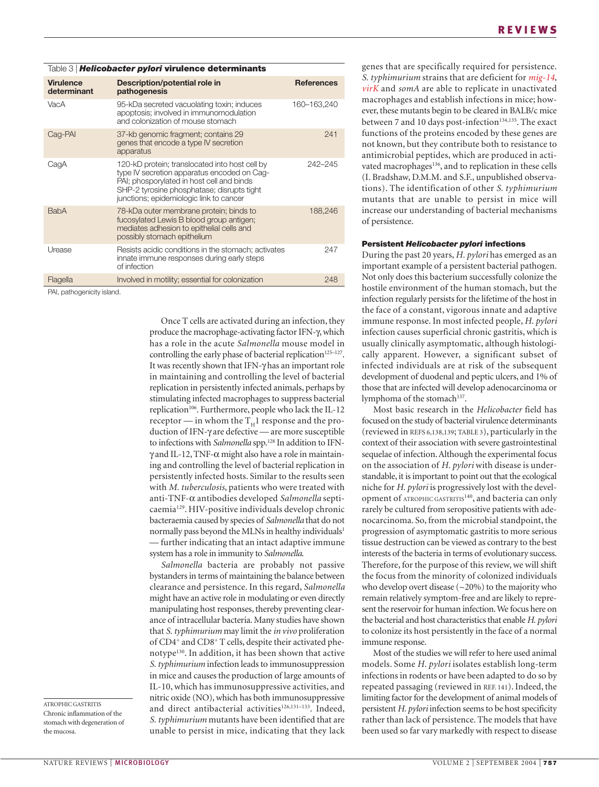| Table 3   Helicobacter pylori virulence determinants |                                                                                                                                                                                                                                     |                   |  |  |
|------------------------------------------------------|-------------------------------------------------------------------------------------------------------------------------------------------------------------------------------------------------------------------------------------|-------------------|--|--|
| <b>Virulence</b><br>determinant                      | Description/potential role in<br>pathogenesis                                                                                                                                                                                       | <b>References</b> |  |  |
| VacA                                                 | 95-kDa secreted vacuolating toxin; induces<br>apoptosis; involved in immunomodulation<br>and colonization of mouse stomach                                                                                                          | 160-163,240       |  |  |
| Cag-PAI                                              | 37-kb genomic fragment; contains 29<br>genes that encode a type IV secretion<br>apparatus                                                                                                                                           | 241               |  |  |
| CagA                                                 | 120-kD protein; translocated into host cell by<br>type IV secretion apparatus encoded on Cag-<br>PAI; phosporylated in host cell and binds<br>SHP-2 tyrosine phosphatase; disrupts tight<br>junctions; epidemiologic link to cancer | 242-245           |  |  |
| <b>BabA</b>                                          | 78-kDa outer membrane protein; binds to<br>fucosylated Lewis B blood group antigen;<br>mediates adhesion to epithelial cells and<br>possibly stomach epithelium                                                                     | 188,246           |  |  |
| Urease                                               | Resists acidic conditions in the stomach; activates<br>innate immune responses during early steps<br>of infection                                                                                                                   | 247               |  |  |
| Flagella                                             | Involved in motility; essential for colonization                                                                                                                                                                                    | 248               |  |  |
| DATE and the contract of the state and               |                                                                                                                                                                                                                                     |                   |  |  |

PAI, pathogenicity island.

Once T cells are activated during an infection, they produce the macrophage-activating factor IFN-γ, which has a role in the acute *Salmonella* mouse model in controlling the early phase of bacterial replication<sup>125-127</sup>. It was recently shown that IFN-γ has an important role in maintaining and controlling the level of bacterial replication in persistently infected animals, perhaps by stimulating infected macrophages to suppress bacterial replication<sup>106</sup>. Furthermore, people who lack the IL-12 receptor — in whom the  $T_H1$  response and the production of IFN-γ are defective — are more susceptible to infections with *Salmonella* spp.<sup>128</sup> In addition to IFNγ and IL-12, TNF-α might also have a role in maintaining and controlling the level of bacterial replication in persistently infected hosts. Similar to the results seen with *M. tuberculosis*, patients who were treated with anti-TNF-α antibodies developed *Salmonella* septicaemia129. HIV-positive individuals develop chronic bacteraemia caused by species of *Salmonella* that do not normally pass beyond the MLNs in healthy individuals<sup>1</sup> — further indicating that an intact adaptive immune system has a role in immunity to *Salmonella*.

*Salmonella* bacteria are probably not passive bystanders in terms of maintaining the balance between clearance and persistence. In this regard, *Salmonella* might have an active role in modulating or even directly manipulating host responses, thereby preventing clearance of intracellular bacteria. Many studies have shown that *S. typhimurium* may limit the *in vivo* proliferation of CD4+ and CD8+ T cells, despite their activated phenotype<sup>130</sup>. In addition, it has been shown that active *S. typhimurium* infection leads to immunosuppression in mice and causes the production of large amounts of IL-10, which has immunosuppressive activities, and nitric oxide (NO), which has both immunosuppressive and direct antibacterial activities<sup>126,131-133</sup>. Indeed, *S. typhimurium* mutants have been identified that are unable to persist in mice, indicating that they lack genes that are specifically required for persistence. *S. typhimurium* strains that are deficient for *mig-14*, *virK* and *somA* are able to replicate in unactivated macrophages and establish infections in mice; however, these mutants begin to be cleared in BALB/c mice between 7 and 10 days post-infection<sup>134,135</sup>. The exact functions of the proteins encoded by these genes are not known, but they contribute both to resistance to antimicrobial peptides, which are produced in activated macrophages<sup>136</sup>, and to replication in these cells (I. Bradshaw, D.M.M. and S.F., unpublished observations). The identification of other *S. typhimurium* mutants that are unable to persist in mice will increase our understanding of bacterial mechanisms of persistence.

#### **Persistent** *Helicobacter pylori* **infections**

During the past 20 years, *H. pylori* has emerged as an important example of a persistent bacterial pathogen. Not only does this bacterium successfully colonize the hostile environment of the human stomach, but the infection regularly persists for the lifetime of the host in the face of a constant, vigorous innate and adaptive immune response. In most infected people, *H. pylori* infection causes superficial chronic gastritis, which is usually clinically asymptomatic, although histologically apparent. However, a significant subset of infected individuals are at risk of the subsequent development of duodenal and peptic ulcers, and 1% of those that are infected will develop adenocarcinoma or lymphoma of the stomach<sup>137</sup>.

Most basic research in the *Helicobacter* field has focused on the study of bacterial virulence determinants (reviewed in REFS 6,138,139; TABLE 3), particularly in the context of their association with severe gastrointestinal sequelae of infection. Although the experimental focus on the association of *H. pylori* with disease is understandable, it is important to point out that the ecological niche for *H. pylori* is progressively lost with the development of ATROPHIC GASTRITIS<sup>140</sup>, and bacteria can only rarely be cultured from seropositive patients with adenocarcinoma. So, from the microbial standpoint, the progression of asymptomatic gastritis to more serious tissue destruction can be viewed as contrary to the best interests of the bacteria in terms of evolutionary success. Therefore, for the purpose of this review, we will shift the focus from the minority of colonized individuals who develop overt disease  $({\sim}20\%)$  to the majority who remain relatively symptom-free and are likely to represent the reservoir for human infection. We focus here on the bacterial and host characteristics that enable *H. pylori* to colonize its host persistently in the face of a normal immune response.

Most of the studies we will refer to here used animal models. Some *H. pylori* isolates establish long-term infections in rodents or have been adapted to do so by repeated passaging (reviewed in REF. 141). Indeed, the limiting factor for the development of animal models of persistent *H. pylori* infection seems to be host specificity rather than lack of persistence. The models that have been used so far vary markedly with respect to disease

ATROPHIC GASTRITIS Chronic inflammation of the stomach with degeneration of the mucosa.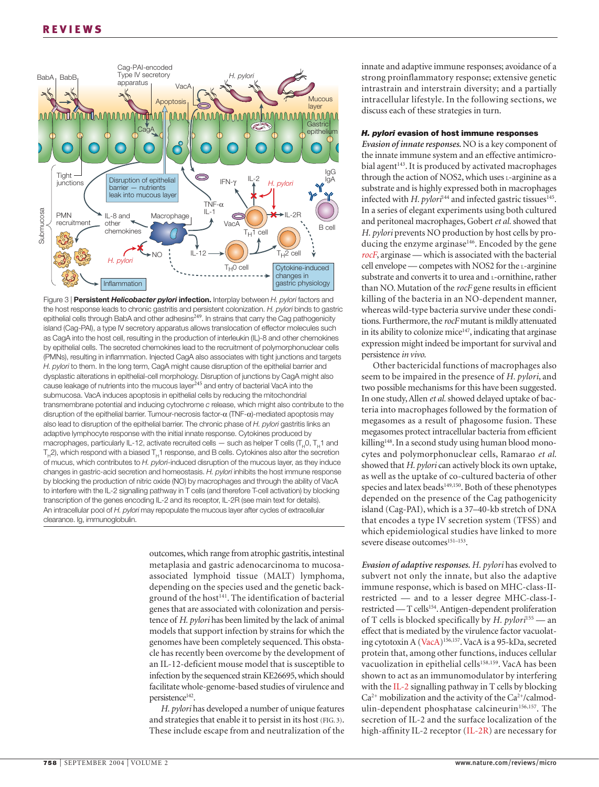

Figure 3 | **Persistent** *Helicobacter pylori* **infection.** Interplay between *H. pylori* factors and the host response leads to chronic gastritis and persistent colonization. *H. pylori* binds to gastric epithelial cells through BabA and other adhesins<sup>249</sup>. In strains that carry the Cag pathogenicity island (Cag-PAI), a type IV secretory apparatus allows translocation of effector molecules such as CagA into the host cell, resulting in the production of interleukin (IL)-8 and other chemokines by epithelial cells. The secreted chemokines lead to the recruitment of polymorphonuclear cells (PMNs), resulting in inflammation. Injected CagA also associates with tight junctions and targets *H. pylori* to them. In the long term, CagA might cause disruption of the epithelial barrier and dysplastic alterations in epithelial-cell morphology. Disruption of junctions by CagA might also cause leakage of nutrients into the mucous layer<sup>245</sup> and entry of bacterial VacA into the submucosa. VacA induces apoptosis in epithelial cells by reducing the mitochondrial transmembrane potential and inducing cytochrome *c* release, which might also contribute to the disruption of the epithelial barrier. Tumour-necrosis factor-α (TNF-α)-mediated apoptosis may also lead to disruption of the epithelial barrier. The chronic phase of *H. pylori* gastritis links an adaptive lymphocyte response with the initial innate response. Cytokines produced by macrophages, particularly IL-12, activate recruited cells  $-$  such as helper T cells (T<sub>u</sub>0, T<sub>u</sub>1 and  $T<sub>u</sub>2$ ), which respond with a biased  $T<sub>u</sub>1$  response, and B cells. Cytokines also alter the secretion of mucus, which contributes to *H. pylori*-induced disruption of the mucous layer, as they induce changes in gastric-acid secretion and homeostasis. *H. pylori* inhibits the host immune response by blocking the production of nitric oxide (NO) by macrophages and through the ability of VacA to interfere with the IL-2 signalling pathway in T cells (and therefore T-cell activation) by blocking transcription of the genes encoding IL-2 and its receptor, IL-2R (see main text for details). An intracellular pool of *H. pylori* may repopulate the mucous layer after cycles of extracellular clearance. Ig, immunoglobulin.

outcomes, which range from atrophic gastritis, intestinal metaplasia and gastric adenocarcinoma to mucosaassociated lymphoid tissue (MALT) lymphoma, depending on the species used and the genetic background of the host<sup>141</sup>. The identification of bacterial genes that are associated with colonization and persistence of *H. pylori* has been limited by the lack of animal models that support infection by strains for which the genomes have been completely sequenced. This obstacle has recently been overcome by the development of an IL-12-deficient mouse model that is susceptible to infection by the sequenced strain KE26695, which should facilitate whole-genome-based studies of virulence and persistence<sup>142</sup>.

*H. pylori* has developed a number of unique features and strategies that enable it to persist in its host (FIG. 3). These include escape from and neutralization of the innate and adaptive immune responses; avoidance of a strong proinflammatory response; extensive genetic intrastrain and interstrain diversity; and a partially intracellular lifestyle. In the following sections, we discuss each of these strategies in turn.

#### *H. pylori* **evasion of host immune responses**

*Evasion of innate responses.* NO is a key component of the innate immune system and an effective antimicrobial agent<sup>143</sup>. It is produced by activated macrophages through the action of NOS2, which uses L-arginine as a substrate and is highly expressed both in macrophages infected with *H. pylori*<sup>144</sup> and infected gastric tissues<sup>145</sup>. In a series of elegant experiments using both cultured and peritoneal macrophages, Gobert *et al.* showed that *H. pylori* prevents NO production by host cells by producing the enzyme arginase<sup>146</sup>. Encoded by the gene *rocF*, arginase — which is associated with the bacterial cell envelope — competes with NOS2 for the L-arginine substrate and converts it to urea and L-ornithine, rather than NO. Mutation of the *rocF* gene results in efficient killing of the bacteria in an NO-dependent manner, whereas wild-type bacteria survive under these conditions. Furthermore, the *rocF* mutant is mildly attenuated in its ability to colonize mice $147$ , indicating that arginase expression might indeed be important for survival and persistence *in vivo*.

Other bactericidal functions of macrophages also seem to be impaired in the presence of *H. pylori*, and two possible mechanisms for this have been suggested. In one study, Allen *et al.* showed delayed uptake of bacteria into macrophages followed by the formation of megasomes as a result of phagosome fusion. These megasomes protect intracellular bacteria from efficient killing<sup>148</sup>. In a second study using human blood monocytes and polymorphonuclear cells, Ramarao *et al.* showed that *H. pylori* can actively block its own uptake, as well as the uptake of co-cultured bacteria of other species and latex beads<sup>149,150</sup>. Both of these phenotypes depended on the presence of the Cag pathogenicity island (Cag-PAI), which is a 37–40-kb stretch of DNA that encodes a type IV secretion system (TFSS) and which epidemiological studies have linked to more severe disease outcomes<sup>151-153</sup>.

*Evasion of adaptive responses. H. pylori* has evolved to subvert not only the innate, but also the adaptive immune response, which is based on MHC-class-IIrestricted — and to a lesser degree MHC-class-Irestricted — T cells<sup>154</sup>. Antigen-dependent proliferation of T cells is blocked specifically by *H. pylori*<sup>155</sup> — an effect that is mediated by the virulence factor vacuolating cytotoxin A (VacA)156,157. VacA is a 95-kDa, secreted protein that, among other functions, induces cellular vacuolization in epithelial cells<sup>158,159</sup>. VacA has been shown to act as an immunomodulator by interfering with the IL-2 signalling pathway in T cells by blocking  $Ca<sup>2+</sup>$  mobilization and the activity of the  $Ca<sup>2+</sup>/cal$ calmodulin-dependent phosphatase calcineurin<sup>156,157</sup>. The secretion of IL-2 and the surface localization of the high-affinity IL-2 receptor (IL-2R) are necessary for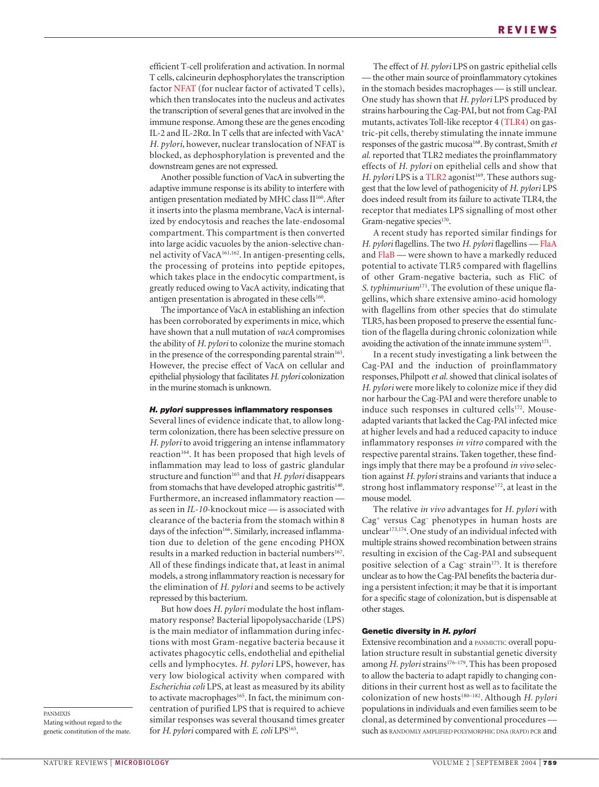efficient T-cell proliferation and activation. In normal T cells, calcineurin dephosphorylates the transcription factor NFAT (for nuclear factor of activated T cells), which then translocates into the nucleus and activates the transcription of several genes that are involved in the immune response. Among these are the genes encoding IL-2 and IL-2Rα. In T cells that are infected with VacA+ *H. pylori*, however, nuclear translocation of NFAT is blocked, as dephosphorylation is prevented and the downstream genes are not expressed.

Another possible function of VacA in subverting the adaptive immune response is its ability to interfere with antigen presentation mediated by MHC class II<sup>160</sup>. After it inserts into the plasma membrane, VacA is internalized by endocytosis and reaches the late-endosomal compartment. This compartment is then converted into large acidic vacuoles by the anion-selective channel activity of VacA161,162. In antigen-presenting cells, the processing of proteins into peptide epitopes, which takes place in the endocytic compartment, is greatly reduced owing to VacA activity, indicating that antigen presentation is abrogated in these cells $160$ .

The importance of VacA in establishing an infection has been corroborated by experiments in mice, which have shown that a null mutation of *vacA* compromises the ability of *H. pylori* to colonize the murine stomach in the presence of the corresponding parental strain<sup>163</sup>. However, the precise effect of VacA on cellular and epithelial physiology that facilitates *H. pylori* colonization in the murine stomach is unknown.

#### *H. pylori* **suppresses inflammatory responses**

Several lines of evidence indicate that, to allow longterm colonization, there has been selective pressure on *H. pylori* to avoid triggering an intense inflammatory reaction<sup>164</sup>. It has been proposed that high levels of inflammation may lead to loss of gastric glandular structure and function<sup>165</sup> and that *H. pylori* disappears from stomachs that have developed atrophic gastritis<sup>140</sup>. Furthermore, an increased inflammatory reaction as seen in *IL-10*-knockout mice — is associated with clearance of the bacteria from the stomach within 8 days of the infection<sup>166</sup>. Similarly, increased inflammation due to deletion of the gene encoding PHOX results in a marked reduction in bacterial numbers<sup>167</sup>. All of these findings indicate that, at least in animal models, a strong inflammatory reaction is necessary for the elimination of *H. pylori* and seems to be actively repressed by this bacterium.

But how does *H. pylori* modulate the host inflammatory response? Bacterial lipopolysaccharide (LPS) is the main mediator of inflammation during infections with most Gram-negative bacteria because it activates phagocytic cells, endothelial and epithelial cells and lymphocytes. *H. pylori* LPS, however, has very low biological activity when compared with *Escherichia coli* LPS, at least as measured by its ability to activate macrophages<sup>165</sup>. In fact, the minimum concentration of purified LPS that is required to achieve similar responses was several thousand times greater for *H. pylori* compared with *E. coli* LPS<sup>165</sup>.

The effect of *H. pylori* LPS on gastric epithelial cells — the other main source of proinflammatory cytokines in the stomach besides macrophages — is still unclear. One study has shown that *H. pylori* LPS produced by strains harbouring the Cag-PAI, but not from Cag-PAI mutants, activates Toll-like receptor 4 (TLR4) on gastric-pit cells, thereby stimulating the innate immune responses of the gastric mucosa168. By contrast, Smith *et al.* reported that TLR2 mediates the proinflammatory effects of *H. pylori* on epithelial cells and show that *H. pylori* LPS is a TLR2 agonist<sup>169</sup>. These authors suggest that the low level of pathogenicity of *H. pylori* LPS does indeed result from its failure to activate TLR4, the receptor that mediates LPS signalling of most other Gram-negative species<sup>170</sup>.

A recent study has reported similar findings for *H. pylori* flagellins. The two *H. pylori* flagellins — FlaA and FlaB — were shown to have a markedly reduced potential to activate TLR5 compared with flagellins of other Gram-negative bacteria, such as FliC of *S*. *typhimurium*171. The evolution of these unique flagellins, which share extensive amino-acid homology with flagellins from other species that do stimulate TLR5, has been proposed to preserve the essential function of the flagella during chronic colonization while avoiding the activation of the innate immune system $171$ .

In a recent study investigating a link between the Cag-PAI and the induction of proinflammatory responses, Philpott *et al.* showed that clinical isolates of *H. pylori* were more likely to colonize mice if they did nor harbour the Cag-PAI and were therefore unable to induce such responses in cultured cells<sup>172</sup>. Mouseadapted variants that lacked the Cag-PAI infected mice at higher levels and had a reduced capacity to induce inflammatory responses *in vitro* compared with the respective parental strains. Taken together, these findings imply that there may be a profound *in vivo* selection against *H. pylori* strains and variants that induce a strong host inflammatory response<sup>172</sup>, at least in the mouse model.

The relative *in vivo* advantages for *H. pylori* with Cag+ versus Cag– phenotypes in human hosts are unclear<sup>173,174</sup>. One study of an individual infected with multiple strains showed recombination between strains resulting in excision of the Cag-PAI and subsequent positive selection of a Cag<sup>-</sup> strain<sup>175</sup>. It is therefore unclear as to how the Cag-PAI benefits the bacteria during a persistent infection; it may be that it is important for a specific stage of colonization, but is dispensable at other stages.

#### **Genetic diversity in** *H. pylori*

Extensive recombination and a PANMICTIC overall population structure result in substantial genetic diversity among *H. pylori* strains<sup>176-179</sup>. This has been proposed to allow the bacteria to adapt rapidly to changing conditions in their current host as well as to facilitate the colonization of new hosts<sup>180–182</sup>. Although *H. pylori* populations in individuals and even families seem to be clonal, as determined by conventional procedures such as RANDOMLY AMPLIFIED POLYMORPHIC DNA (RAPD) PCR and

PANMIXIS Mating without regard to the genetic constitution of the mate.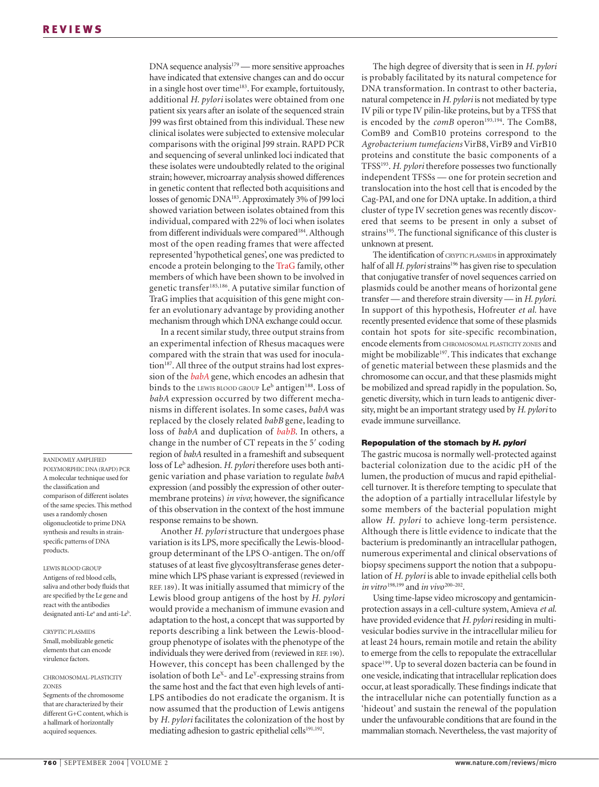RANDOMLY AMPLIFIED POLYMORPHIC DNA (RAPD) PCR A molecular technique used for the classification and comparison of different isolates of the same species. This method uses a randomly chosen oligonucleotide to prime DNA synthesis and results in strainspecific patterns of DNA products.

LEWIS BLOOD GROUP Antigens of red blood cells, saliva and other body fluids that are specified by the Le gene and react with the antibodies designated anti-Le<sup>a</sup> and anti-Le<sup>b</sup>.

CRYPTIC PLASMIDS Small, mobilizable genetic elements that can encode virulence factors.

CHROMOSOMAL-PLASTICITY **ZONES** Segments of the chromosome that are characterized by their different G+C content, which is a hallmark of horizontally acquired sequences.

DNA sequence analysis<sup>179</sup> — more sensitive approaches have indicated that extensive changes can and do occur in a single host over time<sup>183</sup>. For example, fortuitously, additional *H. pylori* isolates were obtained from one patient six years after an isolate of the sequenced strain J99 was first obtained from this individual. These new clinical isolates were subjected to extensive molecular comparisons with the original J99 strain. RAPD PCR and sequencing of several unlinked loci indicated that these isolates were undoubtedly related to the original strain; however, microarray analysis showed differences in genetic content that reflected both acquisitions and losses of genomic DNA183. Approximately 3% of J99 loci showed variation between isolates obtained from this individual, compared with 22% of loci when isolates from different individuals were compared<sup>184</sup>. Although most of the open reading frames that were affected represented 'hypothetical genes', one was predicted to encode a protein belonging to the TraG family, other members of which have been shown to be involved in genetic transfer185,186. A putative similar function of TraG implies that acquisition of this gene might confer an evolutionary advantage by providing another mechanism through which DNA exchange could occur.

In a recent similar study, three output strains from an experimental infection of Rhesus macaques were compared with the strain that was used for inoculation<sup>187</sup>. All three of the output strains had lost expression of the *babA* gene, which encodes an adhesin that binds to the LEWIS BLOOD GROUP  $Le^b$  antigen<sup>188</sup>. Loss of *babA* expression occurred by two different mechanisms in different isolates. In some cases, *babA* was replaced by the closely related *babB* gene, leading to loss of *babA* and duplication of *babB*. In others, a change in the number of CT repeats in the 5' coding region of *babA* resulted in a frameshift and subsequent loss of Leb adhesion. *H. pylori* therefore uses both antigenic variation and phase variation to regulate *babA* expression (and possibly the expression of other outermembrane proteins) *in vivo*; however, the significance of this observation in the context of the host immune response remains to be shown.

Another *H. pylori* structure that undergoes phase variation is its LPS, more specifically the Lewis-bloodgroup determinant of the LPS O-antigen. The on/off statuses of at least five glycosyltransferase genes determine which LPS phase variant is expressed (reviewed in REF. 189). It was initially assumed that mimicry of the Lewis blood group antigens of the host by *H. pylori* would provide a mechanism of immune evasion and adaptation to the host, a concept that was supported by reports describing a link between the Lewis-bloodgroup phenotype of isolates with the phenotype of the individuals they were derived from (reviewed in REF. 190). However, this concept has been challenged by the isolation of both  $Le^{X}$ - and  $Le^{Y}$ -expressing strains from the same host and the fact that even high levels of anti-LPS antibodies do not eradicate the organism. It is now assumed that the production of Lewis antigens by *H. pylori* facilitates the colonization of the host by mediating adhesion to gastric epithelial cells<sup>191,192</sup>.

The high degree of diversity that is seen in *H. pylori* is probably facilitated by its natural competence for DNA transformation. In contrast to other bacteria, natural competence in *H. pylori* is not mediated by type IV pili or type IV pilin-like proteins, but by a TFSS that is encoded by the *comB* operon<sup>193,194</sup>. The ComB8, ComB9 and ComB10 proteins correspond to the *Agrobacterium tumefaciens* VirB8, VirB9 and VirB10 proteins and constitute the basic components of a TFSS193. *H. pylori* therefore possesses two functionally independent TFSSs — one for protein secretion and translocation into the host cell that is encoded by the Cag-PAI, and one for DNA uptake. In addition, a third cluster of type IV secretion genes was recently discovered that seems to be present in only a subset of strains<sup>195</sup>. The functional significance of this cluster is unknown at present.

The identification of CRYPTIC PLASMIDS in approximately half of all *H. pylori* strains<sup>196</sup> has given rise to speculation that conjugative transfer of novel sequences carried on plasmids could be another means of horizontal gene transfer — and therefore strain diversity — in *H. pylori*. In support of this hypothesis, Hofreuter *et al.* have recently presented evidence that some of these plasmids contain hot spots for site-specific recombination, encode elements from CHROMOSOMAL PLASTICITY ZONES and might be mobilizable<sup>197</sup>. This indicates that exchange of genetic material between these plasmids and the chromosome can occur, and that these plasmids might be mobilized and spread rapidly in the population. So, genetic diversity, which in turn leads to antigenic diversity, might be an important strategy used by *H. pylori* to evade immune surveillance.

#### **Repopulation of the stomach by** *H. pylori*

The gastric mucosa is normally well-protected against bacterial colonization due to the acidic pH of the lumen, the production of mucus and rapid epithelialcell turnover. It is therefore tempting to speculate that the adoption of a partially intracellular lifestyle by some members of the bacterial population might allow *H. pylori* to achieve long-term persistence. Although there is little evidence to indicate that the bacterium is predominantly an intracellular pathogen, numerous experimental and clinical observations of biopsy specimens support the notion that a subpopulation of *H. pylori* is able to invade epithelial cells both *in vitro*  $198,199$  and *in vivo*  $200-202$ .

Using time-lapse video microscopy and gentamicinprotection assays in a cell-culture system, Amieva *et al.* have provided evidence that *H. pylori* residing in multivesicular bodies survive in the intracellular milieu for at least 24 hours, remain motile and retain the ability to emerge from the cells to repopulate the extracellular space<sup>199</sup>. Up to several dozen bacteria can be found in one vesicle, indicating that intracellular replication does occur, at least sporadically. These findings indicate that the intracellular niche can potentially function as a 'hideout' and sustain the renewal of the population under the unfavourable conditions that are found in the mammalian stomach. Nevertheless, the vast majority of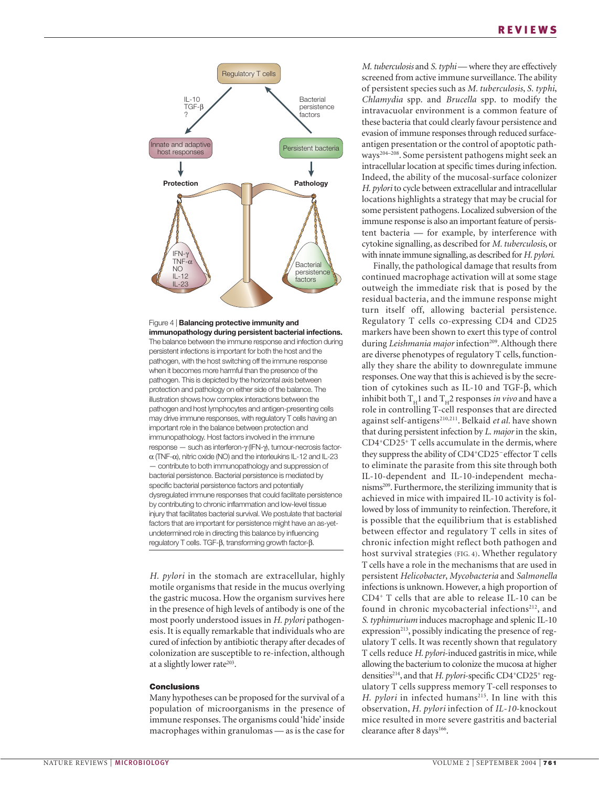



*H. pylori* in the stomach are extracellular, highly motile organisms that reside in the mucus overlying the gastric mucosa. How the organism survives here in the presence of high levels of antibody is one of the most poorly understood issues in *H. pylori* pathogenesis. It is equally remarkable that individuals who are cured of infection by antibiotic therapy after decades of colonization are susceptible to re-infection, although at a slightly lower rate $203$ .

#### **Conclusions**

Many hypotheses can be proposed for the survival of a population of microorganisms in the presence of immune responses. The organisms could 'hide' inside macrophages within granulomas — as is the case for

*M. tuberculosis* and *S. typhi* — where they are effectively screened from active immune surveillance. The ability of persistent species such as *M. tuberculosis*, *S. typhi*, *Chlamydia* spp. and *Brucella* spp. to modify the intravacuolar environment is a common feature of these bacteria that could clearly favour persistence and evasion of immune responses through reduced surfaceantigen presentation or the control of apoptotic pathways204–208. Some persistent pathogens might seek an intracellular location at specific times during infection. Indeed, the ability of the mucosal-surface colonizer *H. pylori* to cycle between extracellular and intracellular locations highlights a strategy that may be crucial for some persistent pathogens. Localized subversion of the immune response is also an important feature of persistent bacteria — for example, by interference with cytokine signalling, as described for *M. tuberculosis*, or with innate immune signalling, as described for *H. pylori*.

Finally, the pathological damage that results from continued macrophage activation will at some stage outweigh the immediate risk that is posed by the residual bacteria, and the immune response might turn itself off, allowing bacterial persistence. Regulatory T cells co-expressing CD4 and CD25 markers have been shown to exert this type of control during *Leishmania major* infection<sup>209</sup>. Although there are diverse phenotypes of regulatory T cells, functionally they share the ability to downregulate immune responses. One way that this is achieved is by the secretion of cytokines such as IL-10 and TGF-β, which inhibit both  $T_H1$  and  $T_H2$  responses *in vivo* and have a role in controlling T-cell responses that are directed against self-antigens<sup>210,211</sup>. Belkaid et al. have shown that during persistent infection by *L. major* in the skin, CD4+CD25+ T cells accumulate in the dermis, where they suppress the ability of CD4+CD25 – effector T cells to eliminate the parasite from this site through both IL-10-dependent and IL-10-independent mechanisms209. Furthermore, the sterilizing immunity that is achieved in mice with impaired IL-10 activity is followed by loss of immunity to reinfection. Therefore, it is possible that the equilibrium that is established between effector and regulatory T cells in sites of chronic infection might reflect both pathogen and host survival strategies (FIG. 4). Whether regulatory T cells have a role in the mechanisms that are used in persistent *Helicobacter*, *Mycobacteria* and *Salmonella* infections is unknown. However, a high proportion of CD4+ T cells that are able to release IL-10 can be found in chronic mycobacterial infections<sup>212</sup>, and *S. typhimurium* induces macrophage and splenic IL-10 expression<sup>213</sup>, possibly indicating the presence of regulatory T cells. It was recently shown that regulatory T cells reduce *H. pylori*-induced gastritis in mice, while allowing the bacterium to colonize the mucosa at higher densities214, and that *H. pylori*-specific CD4+CD25+ regulatory T cells suppress memory T-cell responses to *H. pylori* in infected humans<sup>215</sup>. In line with this observation, *H. pylori* infection of *IL-10*-knockout mice resulted in more severe gastritis and bacterial clearance after 8 days<sup>166</sup>.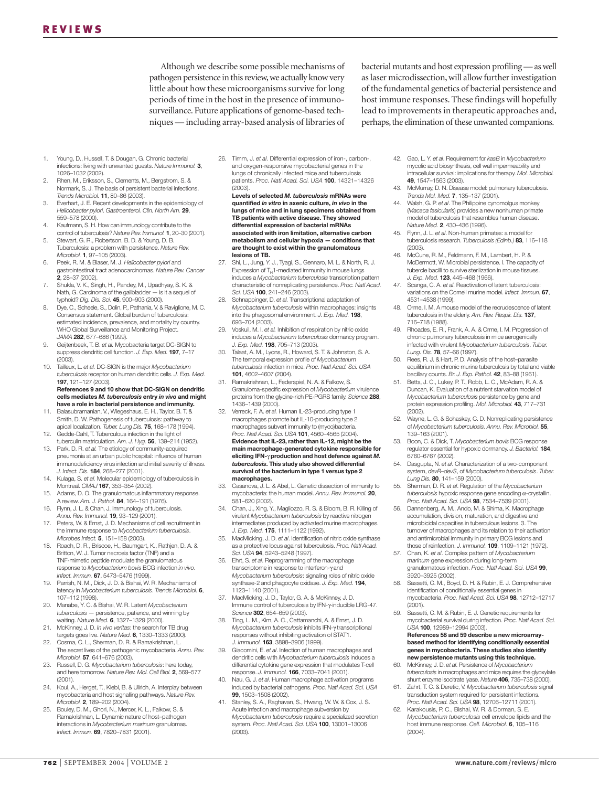Although we describe some possible mechanisms of pathogen persistence in this review,we actually know very little about how these microorganisms survive for long periods of time in the host in the presence of immunosurveillance. Future applications of genome-based techniques — including array-based analysis of libraries of bacterial mutants and host expression profiling — as well as laser microdissection, will allow further investigation of the fundamental genetics of bacterial persistence and host immune responses. These findings will hopefully lead to improvements in therapeutic approaches and, perhaps, the elimination of these unwanted companions.

- 1. Young, D., Hussell, T. & Dougan, G. Chronic bacterial infections: living with unwanted guests. *Nature Immunol.* **3**, 1026–1032 (2002).
- 2. Rhen, M., Eriksson, S., Clements, M., Bergstrom, S. & Normark, S. J. The basis of persistent bacterial infections. *Trends Microbiol.* **11**, 80–86 (2003).
- 3. Everhart, J. E. Recent developments in the epidemiology of *Helicobacter pylori*. *Gastroenterol. Clin. North Am.* **29**, 559–578 (2000).
- 4. Kaufmann, S. H. How can immunology contribute to the control of tuberculosis? *Nature Rev. Immunol.* **1**, 20–30 (2001).
- 5. Stewart, G. R., Robertson, B. D. & Young, D. B. Tuberculosis: a problem with persistence. *Nature Rev. Microbiol.* **1**, 97–105 (2003).
- 6. Peek, R. M. & Blaser, M. J. *Helicobacter pylori* and gastrointestinal tract adenocarcinomas. *Nature Rev. Cancer* **2**, 28–37 (2002).
- 7. Shukla, V. K., Singh, H., Pandey, M., Upadhyay, S. K. & Nath, G. Carcinoma of the gallbladder — is it a sequel of typhoid? *Dig. Dis. Sci.* **45**, 900–903 (2000).
- 8. Dye, C., Scheele, S., Dolin, P., Pathania, V. & Raviglione, M. C. Consensus statement. Global burden of tuberculosis: estimated incidence, prevalence, and mortality by country. WHO Global Surveillance and Monitoring Project. *JAMA* **282**, 677–686 (1999).
- 9. Geijtenbeek, T. B. *et al.* Mycobacteria target DC-SIGN to suppress dendritic cell function. *J. Exp. Med.* **197**, 7–17 (2003).
- 10. Tailleux, L. *et al.* DC-SIGN is the major *Mycobacterium tuberculosis* receptor on human dendritic cells. *J. Exp. Med.* **197**, 121–127 (2003).

**References 9 and 10 show that DC-SIGN on dendritic cells mediates** *M. tuberculosis* **entry** *in vivo* **and might have a role in bacterial persistence and immunity.**

- 11. Balasubramanian, V., Wiegeshaus, E. H., Taylor, B. T. & Smith, D. W. Pathogenesis of tuberculosis: pathway to apical localization. *Tuber. Lung Dis.* **75**, 168–178 (1994). 12. Gedde-Dahl, T. Tuberculous infection in the light of
- tuberculin matriculation. *Am. J. Hyg.* **56**, 139–214 (1952).
- 13. Park, D. R. *et al.* The etiology of community-acquired pneumonia at an urban public hospital: influence of human immunodeficiency virus infection and initial severity of illness. *J. Infect. Dis.* **184**, 268–277 (2001).
- 14. Kulaga, S. *et al.* Molecular epidemiology of tuberculosis in Montreal. *CMAJ* **167**, 353–354 (2002).
- 15. Adams, D. O. The granulomatous inflammatory response. A review. *Am. J. Pathol.* **84**, 164–191 (1976).
- 16. Flynn, J. L. & Chan, J. Immunology of tuberculosis. *Annu. Rev. Immunol.* **19**, 93–129 (2001).
- 17. Peters, W. & Ernst, J. D. Mechanisms of cell recruitment in the immune response to *Mycobacterium tuberculosis*. *Microbes Infect.* **5**, 151–158 (2003).
- 18. Roach, D. R., Briscoe, H., Baumgart, K., Rathjen, D. A. & Britton, W. J. Tumor necrosis factor (TNF) and a TNF-mimetic peptide modulate the granulomatous response to *Mycobacterium bovis* BCG infection *in vivo*. *Infect. Immun.* **67**, 5473–5476 (1999).
- 19. Parrish, N. M., Dick, J. D. & Bishai, W. R. Mechanisms of latency in *Mycobacterium tuberculosis*. *Trends Microbiol.* **6**, 107–112 (1998).
- 20. Manabe, Y. C. & Bishai, W. R. Latent *Mycobacterium tuberculosis* — persistence, patience, and winning by waiting. *Nature Med.* **6**, 1327–1329 (2000).
- 21. McKinney, J. D. *In vivo veritas*: the search for TB drug targets goes live. *Nature Med.* **6**, 1330–1333 (2000). 22. Cosma, C. L., Sherman, D. R. & Ramakrishnan, L.
- The secret lives of the pathogenic mycobacteria. *Annu. Rev. Microbiol.* **57**, 641–676 (2003).
- 23. Russell, D. G. *Mycobacterium tuberculosis*: here today, and here tomorrow. *Nature Rev. Mol. Cell Biol.* **2**, 569–577 (2001).
- Koul, A., Herget, T., Klebl, B. & Ullrich, A. Interplay between mycobacteria and host signalling pathways. *Nature Rev. Microbiol.* **2**, 189–202 (2004).
- 25. Bouley, D. M., Ghori, N., Mercer, K. L., Falkow, S. & Ramakrishnan, L. Dynamic nature of host–pathogen interactions in *Mycobacterium marinum* granulomas. *Infect. Immun.* **69**, 7820–7831 (2001).

26. Timm, J. *et al.* Differential expression of iron-, carbonand oxygen-responsive mycobacterial genes in the lungs of chronically infected mice and tuberculosis patients. *Proc. Natl Acad. Sci. USA* **100**, 14321–14326  $(2003)$ 

**Levels of selected** *M. tuberculosis* **mRNAs were quantified** *in vitro* **in axenic culture,** *in vivo* **in the lungs of mice and in lung specimens obtained from TB patients with active disease. They showed differential expression of bacterial mRNAs associated with iron limitation, alternative carbon metabolism and cellular hypoxia — conditions that are thought to exist within the granulomatous lesions of TB.**

- 27. Shi, L., Jung, Y. J., Tyagi, S., Gennaro, M. L. & North, R. J. Expression of  $T_H$ 1-mediated immunity in mouse lungs induces a *Mycobacterium tuberculosis* transcription pattern characteristic of nonreplicating persistence. *Proc. Natl Acad. Sci. USA* **100**, 241–246 (2003).
- 28. Schnappinger, D. *et al.* Transcriptional adaptation of *Mycobacterium tuberculosis* within macrophages: insights into the phagosomal environment. *J. Exp. Med.* **198**, 693–704 (2003).
- 29. Voskuil, M. I. *et al.* Inhibition of respiration by nitric oxide induces a *Mycobacterium tuberculosis* dormancy program. *J. Exp. Med.* **198**, 705–713 (2003).
- 30. Talaat, A. M., Lyons, R., Howard, S. T. & Johnston, S. A. The temporal expression profile of *Mycobacterium tuberculosis* infection in mice. *Proc. Natl Acad. Sci. USA* **101**, 4602–4607 (2004).
- 31. Ramakrishnan, L., Federspiel, N. A. & Falkow, S. Granuloma-specific expression of *Mycobacterium* virulence proteins from the glycine-rich PE-PGRS family. *Science* **288**, 1436–1439 (2000).
- 32. Verreck, F. A. *et al.* Human IL-23-producing type 1 macrophages promote but IL-10-producing type 2 macrophages subvert immunity to (myco)bacteria. *Proc. Natl Acad. Sci. USA* **101**, 4560–4565 (2004). **Evidence that IL-23, rather than IL-12, might be the main macrophage-generated cytokine responsible for eliciting IFN-**γ **production and host defence against** *M. tuberculosis***. This study also showed differential survival of the bacterium in type 1 versus type 2 macrophages.**
- 33. Casanova, J. L. & Abel, L. Genetic dissection of immunity to mycobacteria: the human model. *Annu. Rev. Immunol.* **20**, 581–620 (2002).
- 34. Chan, J., Xing, Y., Magliozzo, R. S. & Bloom, B. R. Killing of virulent *Mycobacterium tuberculosis* by reactive nitrogen intermediates produced by activated murine macrophages. *J. Exp. Med.* **175**, 1111–1122 (1992).
- 35. MacMicking, J. D. *et al*. Identification of nitric oxide synthase as a protective locus against tuberculosis. *Proc. Natl Acad. Sci. USA* **94**, 5243–5248 (1997).
- 36. Ehrt, S. *et al*. Reprogramming of the macrophage transcriptome in response to interferon-γ and *Mycobacterium tuberculosis*: signaling roles of nitric oxide synthase-2 and phagocyte oxidase. *J. Exp. Med.* **194**, 1123–1140 (2001).
- 37. MacMicking, J. D., Taylor, G. A. & McKinney, J. D. Immune control of tuberculosis by IFN-γ-inducible LRG-47. *Science* **302**, 654–659 (2003).
- 38. Ting, L. M., Kim, A. C., Cattamanchi, A. & Ernst, J. D. *Mycobacterium tuberculosis* inhibits IFN-γ transcriptional responses without inhibiting activation of STAT1. *J. Immunol.* **163**, 3898–3906 (1999).
- 39. Giacomini, E. *et al*. Infection of human macrophages and dendritic cells with *Mycobacterium tuberculosis* induces a differential cytokine gene expression that modulates T-cell response. *J. Immunol.* **166**, 7033–7041 (2001).
- 40. Nau, G. J. *et al*. Human macrophage activation programs induced by bacterial pathogens. *Proc. Natl Acad. Sci. USA* **99**, 1503–1508 (2002).
- 41. Stanley, S. A., Raghavan, S., Hwang, W. W. & Cox, J. S. Acute infection and macrophage subversion by *Mycobacterium tuberculosis* require a specialized secretion system. *Proc. Natl Acad. Sci. USA* **100**, 13001–13006 (2003).
- 42. Gao, L. Y. *et al*. Requirement for *kasB* in *Mycobacterium* mycolic acid biosynthesis, cell wall impermeability and intracellular survival: implications for therapy. *Mol. Microbiol.* **49**, 1547–1563 (2003).
- 43. McMurray, D. N. Disease model: pulmonary tuberculosis. *Trends Mol. Med.* **7**, 135–137 (2001).
- 44. Walsh, G. P. *et al*. The Philippine cynomolgus monkey (*Macaca fasicularis*) provides a new nonhuman primate model of tuberculosis that resembles human disease. *Nature Med.* **2**, 430–436 (1996).
- 45. Flynn, J. L. *et al*. Non-human primates: a model for tuberculosis research. *Tuberculosis (Edinb.)* **83**, 116–118 (2003).
- 46. McCune, R. M., Feldmann, F. M., Lambert, H. P. & McDermott, W. Microbial persistence. I. The capacity of tubercle bacilli to survive sterilization in mouse tissues. *J. Exp. Med.* **123**, 445–468 (1966).
- 47. Scanga, C. A. *et al*. Reactivation of latent tuberculosis: variations on the Cornell murine model. *Infect. Immun.* **67**, 4531–4538 (1999).
- 48. Orme, I. M. A mouse model of the recrudescence of latent tuberculosis in the elderly. *Am. Rev. Respir. Dis.* **137**, 716–718 (1988).
- 49. Rhoades, E. R., Frank, A. A. & Orme, I. M. Progression of chronic pulmonary tuberculosis in mice aerogenically infected with virulent *Mycobacterium tuberculosis*. *Tuber. Lung. Dis.* **78**, 57–66 (1997).
- 50. Rees, R. J. & Hart, P. D. Analysis of the host–parasite equilibrium in chronic murine tuberculosis by total and viable bacillary counts. *Br. J. Exp. Pathol.* **42**, 83–88 (1961).
- 51. Betts, J. C., Lukey, P. T., Robb, L. C., McAdam, R. A. & Duncan, K. Evaluation of a nutrient starvation model of *Mycobacterium tuberculosis* persistence by gene and protein expression profiling. *Mol. Microbiol.* **43**, 717–731 (2002).
- 52. Wayne, L. G. & Sohaskey, C. D. Nonreplicating persistence of *Mycobacterium tuberculosis*. *Annu. Rev. Microbiol.* **55**, 139–163 (2001).
- 53. Boon, C. & Dick, T. *Mycobacterium bovis* BCG response regulator essential for hypoxic dormancy. *J. Bacteriol.* **184**, 6760–6767 (2002).
- 54. Dasgupta, N. *et al*. Characterization of a two-component system, *devR*–*devS*, of *Mycobacterium tuberculosis*. *Tuber. Lung Dis.* **80**, 141–159 (2000).
- 55. Sherman, D. R. *et al*. Regulation of the *Mycobacterium tuberculosis* hypoxic response gene encoding α-crystallin. *Proc. Natl Acad. Sci. USA* **98**, 7534–7539 (2001).
- 56. Dannenberg, A. M., Ando, M. & Shima, K. Macrophage accumulation, division, maturation, and digestive and microbicidal capacities in tuberculous lesions. 3. The turnover of macrophages and its relation to their activation and antimicrobial immunity in primary BCG lesions and those of reinfection. *J. Immunol.* **109**, 1109–1121 (1972).
- 57. Chan, K. *et al*. Complex pattern of *Mycobacterium marinum* gene expression during long-term granulomatous infection. *Proc. Natl Acad. Sci. USA* **99**, 3920–3925 (2002).
- 58. Sassetti, C. M., Boyd, D. H. & Rubin, E. J. Comprehensive identification of conditionally essential genes in mycobacteria. *Proc. Natl Acad. Sci. USA* **98**, 12712–12717 (2001).
- 59. Sassetti, C. M. & Rubin, E. J. Genetic requirements for mycobacterial survival during infection. *Proc. Natl Acad. Sci. USA* **100**, 12989–12994 (2003).
	- **References 58 and 59 describe a new microarraybased method for identifying conditionally essential genes in mycobacteria. These studies also identify new persistence mutants using this technique.**
- 60. McKinney, J. D. *et al*. Persistence of *Mycobacterium tuberculosis* in macrophages and mice requires the glyoxylate shunt enzyme isocitrate lyase. *Nature* **406**, 735–738 (2000).
- 61. Zahrt, T. C. & Deretic, V. *Mycobacterium tuberculosis* signal transduction system required for persistent infections. *Proc. Natl Acad. Sci. USA* **98**, 12706–12711 (2001). 62. Karakousis, P. C., Bishai, W. R. & Dorman, S. E.
- *Mycobacterium tuberculosis* cell envelope lipids and the host immune response. *Cell. Microbiol.* **6**, 105–116 (2004).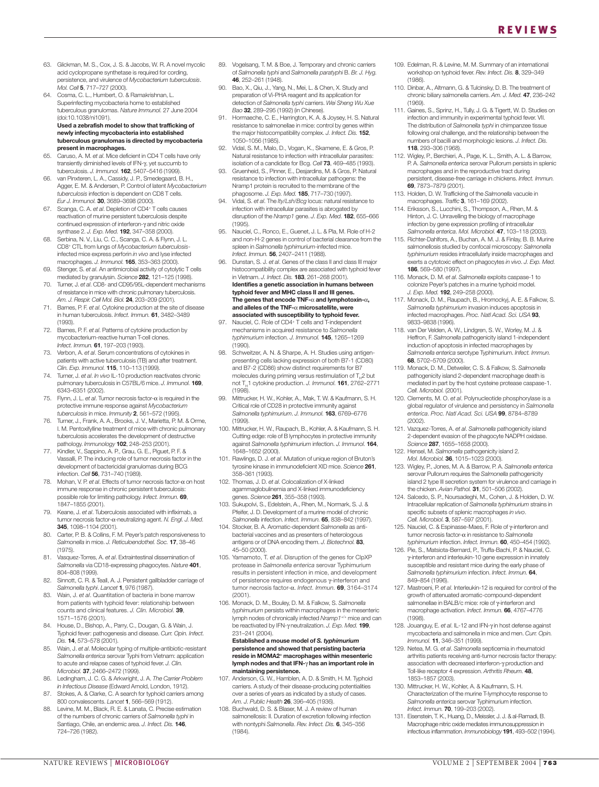- 63. Glickman, M. S., Cox, J. S. & Jacobs, W. R. A novel mycolic acid cyclopropane synthetase is required for cording, persistence, and virulence of *Mycobacterium tuberculosis*. *Mol. Cell* **5**, 717–727 (2000).
- 64. Cosma, C. L., Humbert, O. & Ramakrishnan, L. Superinfecting mycobacteria home to established tuberculous granulomas. *Nature Immunol.* 27 June 2004 (doi:10.1038/ni1091).

#### **Used a zebrafish model to show that trafficking of newly infecting mycobacteria into established tuberculous granulomas is directed by mycobacteria present in macrophages.**

- 65. Caruso, A. M. *et al*. Mice deficient in CD4 T cells have only transiently diminished levels of IFN-γ, yet succumb to tuberculosis. *J. Immunol.* **162**, 5407–5416 (1999).
- 66. van Pinxteren, L. A., Cassidy, J. P., Smedegaard, B. H., Agger, E. M. & Andersen, P. Control of latent *Mycobacterium tuberculosis* infection is dependent on CD8 T cells. *Eur J. Immunol.* **30**, 3689–3698 (2000).
- 67. Scanga, C. A. *et al*. Depletion of CD4+ T cells causes reactivation of murine persistent tuberculosis despite continued expression of interferon-γ and nitric oxide synthase 2. *J. Exp. Med.* **192**, 347–358 (2000).
- 68. Serbina, N. V., Liu, C. C., Scanga, C. A. & Flynn, J. L. CD8+ CTL from lungs of *Mycobacterium tuberculosis*infected mice express perforin *in vivo* and lyse infected macrophages. *J. Immunol.* **165**, 353–363 (2000).
- 69. Stenger, S. *et al*. An antimicrobial activity of cytolytic T cells mediated by granulysin. *Science* **282**, 121–125 (1998).
- 70. Turner, J. *et al*. CD8- and CD95/95L-dependent mechanisms of resistance in mice with chronic pulmonary tuberculosis. *Am. J. Respir. Cell Mol. Biol.* **24**, 203–209 (2001).
- 71. Barnes, P. F. *et al*. Cytokine production at the site of disease in human tuberculosis. *Infect. Immun.* **61**, 3482–3489 (1993).
- 72. Barnes, P. F. *et al*. Patterns of cytokine production by mycobacterium-reactive human T-cell clones. *Infect. Immun.* **61**, 197–203 (1993).
- 73. Verbon, A. *et al*. Serum concentrations of cytokines in patients with active tuberculosis (TB) and after treatment. *Clin. Exp. Immunol.* **115**, 110–113 (1999).
- 74. Turner, J. *et al*. *In vivo* IL-10 production reactivates chronic pulmonary tuberculosis in C57BL/6 mice. *J. Immunol.* **169**, 6343–6351 (2002).
- 75. Flynn, J. L. *et al*. Tumor necrosis factor-α is required in the protective immune response against *Mycobacterium tuberculosis* in mice. *Immunity* **2**, 561–572 (1995).
- 76. Turner, J., Frank, A. A., Brooks, J. V., Marietta, P. M. & Orme, I. M. Pentoxifylline treatment of mice with chronic pulmonary tuberculosis accelerates the development of destructive pathology. *Immunology* **102**, 248–253 (2001).
- 77. Kindler, V., Sappino, A. P., Grau, G. E., Piguet, P. F. & Vassalli, P. The inducing role of tumor necrosis factor in the development of bactericidal granulomas during BCG infection. *Cell* **56**, 731–740 (1989).
- 78. Mohan, V. P. *et al*. Effects of tumor necrosis factor-α on host immune response in chronic persistent tuberculosis: possible role for limiting pathology. *Infect. Immun.* **69**, .<br>1847–1855 (2001).
- 79. Keane, J. *et al*. Tuberculosis associated with infliximab, a tumor necrosis factor-α-neutralizing agent. *N. Engl. J. Med.* **345**, 1098–1104 (2001).
- 80. Carter, P. B. & Collins, F. M. Peyer's patch responsiveness to *Salmonella* in mice. *J. Reticuloendothel. Soc.* **17**, 38–46 (1975).
- 81. Vasquez-Torres, A. *et al*. Extraintestinal dissemination of *Salmonella* via CD18-expressing phagocytes. *Nature* **401**, 804–808 (1999).
- 82. Sinnott, C. R. & Teall, A. J. Persistent gallbladder carriage of *Salmonella typhi*. *Lancet* **1**, 976 (1987).
- 83. Wain, J. *et al*. Quantitation of bacteria in bone marrow from patients with typhoid fever: relationship between counts and clinical features. *J. Clin. Microbiol.* **39**, 1571–1576 (2001).
- 84. House, D., Bishop, A., Parry, C., Dougan, G. & Wain, J. Typhoid fever: pathogenesis and disease. *Curr. Opin. Infect. Dis.* **14**, 573–578 (2001).
- 85. Wain, J. *et al*. Molecular typing of multiple-antibiotic-resistant *Salmonella enterica* serovar Typhi from Vietnam: application to acute and relapse cases of typhoid fever. *J. Clin. Microbiol.* **37**, 2466–2472 (1999).
- 86. Ledingham, J. C. G. & Arkwright, J. A. *The Carrier Problem in Infectious Disease* (Edward Arnold, London, 1912).
- 87. Stokes, A. & Clarke, C. A search for typhoid carriers among 800 convalescents. *Lancet* **1**, 566–569 (1912).
- 88. Levine, M. M., Black, R. E. & Lanata, C. Precise estimation of the numbers of chronic carriers of *Salmonella typhi* in Santiago, Chile, an endemic area. *J. Infect. Dis.* **146**, 724–726 (1982).
- 89. Vogelsang, T. M. & Boe, J. Temporary and chronic carriers of *Salmonella typhi* and *Salmonella paratyphi* B. *Br. J. Hyg.* **46**, 252–261 (1948).
- 90. Bao, X., Qiu, J., Yang, N., Mei, L. & Chen, X. Study and preparation of Vi-PHA reagent and its application for detection of *Salmonella typhi* carriers. *Wei Sheng Wu Xue Bao* **32**, 289–295 (1992) (in Chinese).
- Hormaeche, C. E., Harrington, K. A. & Joysey, H. S. Natural resistance to salmonellae in mice: control by genes within the major histocompatibility complex. *J. Infect. Dis.* **152**, 1050–1056 (1985).
- 92. Vidal, S. M., Malo, D., Vogan, K., Skamene, E. & Gros, P. Natural resistance to infection with intracellular parasites: isolation of a candidate for Bcg. *Cell* **73**, 469–485 (1993).
- 93. Gruenheid, S., Pinner, E., Desjardins, M. & Gros, P. Natural resistance to infection with intracellular pathogens: the Nramp1 protein is recruited to the membrane of the phagosome. *J. Exp. Med.* **185**, 717–730 (1997).
- 94. Vidal, S. *et al*. The *Ity*/*Lsh*/*Bcg* locus: natural resistance to infection with intracellular parasites is abrogated by disruption of the *Nramp1* gene. *J. Exp. Med.* **182**, 655–666 (1995).
- 95. Nauciel, C., Ronco, E., Guenet, J. L. & Pla, M. Role of H-2 and non-H-2 genes in control of bacterial clearance from the spleen in *Salmonella typhimurium*-infected mice. *Infect. Immun.* **56**, 2407–2411 (1988).
- 96. Dunstan, S. J. *et al*. Genes of the class II and class III major histocompatibility complex are associated with typhoid fever in Vietnam. *J. Infect. Dis.* **183**, 261–268 (2001). **Identifies a genetic association in humans between typhoid fever and MHC class II and III genes. The genes that encode TNF-**α **and lymphotoxin-**α**, and alleles of the TNF-**α **microsatellite, were associated with susceptibility to typhoid fever.**
- Nauciel, C. Role of CD4<sup>+</sup> T cells and T-independent mechanisms in acquired resistance to *Salmonella typhimurium* infection. *J. Immunol.* **145**, 1265–1269 (1990).
- 98. Schweitzer, A. N. & Sharpe, A. H. Studies using antigenpresenting cells lacking expression of both B7-1 (CD80) and B7-2 (CD86) show distinct requirements for B7 molecules during priming versus restimulation of  $T_a$ 2 but not T<sub>u</sub>1 cytokine production. *J. Immunol*. **161**, 2762–2771  $(1998)$
- 99. Mittrucker, H. W., Kohler, A., Mak, T. W. & Kaufmann, S. H. Critical role of CD28 in protective immunity against *Salmonella typhimurium*. *J. Immunol.* **163**, 6769–6776 (1999).
- 100. Mittrucker, H. W., Raupach, B., Kohler, A. & Kaufmann, S. H. Cutting edge: role of B lymphocytes in protective immunity against *Salmonella typhimurium* infection. *J. Immunol.* **164**, 1648–1652 (2000).
- 101. Rawlings, D. J. *et al*. Mutation of unique region of Bruton's tyrosine kinase in immunodeficient XID mice. *Science* **261**, 358–361 (1993).
- 102. Thomas, J. D. *et al*. Colocalization of X-linked agammaglobulinemia and X-linked immunodeficiency genes. *Science* **261**, 355–358 (1993).
- 103. Sukupolvi, S., Edelstein, A., Rhen, M., Normark, S. J. & Pfeifer, J. D. Development of a murine model of chronic *Salmonella* infection. *Infect. Immun.* **65**, 838–842 (1997).
- 104. Stocker, B. A. Aromatic-dependent *Salmonella* as antibacterial vaccines and as presenters of heterologous antigens or of DNA encoding them. *J. Biotechnol.* **83**, 45–50 (2000).
- 105. Yamamoto, T. *et al*. Disruption of the genes for ClpXP protease in *Salmonella enterica* serovar Typhimurium results in persistent infection in mice, and development of persistence requires endogenous γ-interferon and tumor necrosis factor-α. *Infect. Immun.* **69**, 3164–3174 (2001).
- 106. Monack, D. M., Bouley, D. M. & Falkow, S. *Salmonella typhimurium* persists within macrophages in the mesenteric lymph nodes of chronically infected *Nramp1*+/+ mice and can be reactivated by IFN-γ neutralization. *J. Exp. Med.* **199**, 231–241 (2004).

**Established a mouse model of** *S. typhimurium* **persistence and showed that persisting bacteria reside in MOMA2+ macrophages within mesenteric lymph nodes and that IFN-**γ **has an important role in maintaining persistence.**

- 107. Anderson, G. W., Hamblen, A. D. & Smith, H. M. Typhoid carriers. A study of their disease-producing potentialities over a series of years as indicated by a study of cases. *Am. J. Public Health* **26**, 396–405 (1936).
- 108. Buchwald, D. S. & Blaser, M. J. A review of human salmonellosis: II. Duration of excretion following infection with nontyphi *Salmonella*. *Rev. Infect. Dis.* **6**, 345–356 (1984).
- 109. Edelman, R. & Levine, M. M. Summary of an international workshop on typhoid fever. *Rev. Infect. Dis.* **8**, 329–349 (1986).
- 110. Dinbar, A., Altmann, G. & Tulcinsky, D. B. The treatment of chronic biliary salmonella carriers. *Am. J. Med.* **47**, 236–242 (1969).
- 111. Gaines, S., Sprinz, H., Tully, J. G. & Tigertt, W. D. Studies on infection and immunity in experimental typhoid fever. VII. The distribution of *Salmonella typhi* in chimpanzee tissue following oral challenge, and the relationship between the numbers of bacilli and morphologic lesions. *J. Infect. Dis.* **118**, 293–306 (1968).
- 112. Wigley, P., Berchieri, A., Page, K. L., Smith, A. L. & Barrow, P. A. *Salmonella enterica* serovar Pullorum persists in splenic macrophages and in the reproductive tract during persistent, disease-free carriage in chickens. *Infect. Immun.* **69**, 7873–7879 (2001).
- 113. Holden, D. W. Trafficking of the *Salmonella* vacuole in macrophages. *Traffic* **3**, 161–169 (2002).
- 114. Eriksson, S., Lucchini, S., Thompson, A., Rhen, M. & Hinton, J. C. Unravelling the biology of macrophage infection by gene expression profiling of intracellular *Salmonella enterica*. *Mol. Microbiol.* **47**, 103–118 (2003).
- 115. Richter-Dahlfors, A., Buchan, A. M. J. & Finlay, B. B. Murine salmonellosis studied by confocal microscopy: *Salmonella typhimurium* resides intracellularly inside macrophages and exerts a cytotoxic effect on phagocytes *in vivo*. *J. Exp. Med.* **186**, 569–580 (1997).
- 116. Monack, D. M. *et al*. *Salmonella* exploits caspase-1 to colonize Peyer's patches in a murine typhoid model. *J. Exp. Med.* **192**, 249–258 (2000).
- 117. Monack, D. M., Raupach, B., Hromockyj, A. E. & Falkow, S. *Salmonella typhimurium* invasion induces apoptosis in infected macrophages. *Proc. Natl Acad. Sci. USA* **93**, 9833–9838 (1996).
- 118. van Der Velden, A. W., Lindgren, S. W., Worley, M. J. & Heffron, F. *Salmonella* pathogenicity island 1-independent induction of apoptosis in infected macrophages by *Salmonella enterica* serotype Typhimurium. *Infect. Immun.* **68**, 5702–5709 (2000).
- 119. Monack, D. M., Detweiler, C. S. & Falkow, S. *Salmonella* pathogenicity island 2-dependent macrophage death is mediated in part by the host cysteine protease caspase-1. *Cell. Microbiol.* (2001).
- 120. Clements, M. O. *et al*. Polynucleotide phosphorylase is a global regulator of virulence and persistency in *Salmonella enterica*. *Proc. Natl Acad. Sci. USA* **99**, 8784–8789 (2002).
- 121. Vazquez-Torres, A. *et al*. *Salmonella* pathogenicity island 2-dependent evasion of the phagocyte NADPH oxidase. *Science* **287**, 1655–1658 (2000).
- 122. Hensel, M. *Salmonella* pathogenicity island 2. *Mol. Microbiol.* **36**, 1015–1023 (2000).
- 123. Wigley, P., Jones, M. A. & Barrow, P. A. *Salmonella enterica* serovar Pullorum requires the *Salmonella* pathogenicity island 2 type III secretion system for virulence and carriage in the chicken. *Avian Pathol.* **31**, 501–506 (2002).
- 124. Salcedo, S. P., Noursadeghi, M., Cohen, J. & Holden, D. W. Intracellular replication of *Salmonella typhimurium* strains in specific subsets of splenic macrophages *in vivo*. *Cell. Microbiol.* **3**, 587–597 (2001).
- 125. Nauciel, C. & Espinasse-Maes, F. Role of γ-interferon and tumor necrosis factor-α in resistance to *Salmonella typhimurium* infection. *Infect. Immun.* **60**, 450–454 (1992).
- 126. Pie, S., Matsiota-Bernard, P., Truffa-Bachi, P. & Nauciel, C. γ-interferon and interleukin-10 gene expression in innately susceptible and resistant mice during the early phase of *Salmonella typhimurium* infection. *Infect. Immun.* **64**, 849–854 (1996).
- 127. Mastroeni, P. *et al*. Interleukin-12 is required for control of the growth of attenuated aromatic-compound-dependent salmonellae in BALB/c mice: role of γ-interferon and macrophage activation. *Infect. Immun.* **66**, 4767–4776 (1998).
- 128. Jouanguy, E. *et al*. IL-12 and IFN-γ in host defense against mycobacteria and salmonella in mice and men. *Curr. Opin. Immunol.* **11**, 346–351 (1999).
- 129. Netea, M. G. *et al*. *Salmonella* septicemia in rheumatoid arthritis patients receiving anti-tumor necrosis factor therapy: association with decreased interferon-γ production and Toll-like receptor 4 expression. *Arthritis Rheum.* **48**, 1853–1857 (2003).
- 130. Mittrucker, H. W., Kohler, A. & Kaufmann, S. H. Characterization of the murine T-lymphocyte response to *Salmonella enterica* serovar Typhimurium infection. *Infect. Immun.* **70**, 199–203 (2002).
- 131. Eisenstein, T. K., Huang, D., Meissler, J. J. & al-Ramadi, B. Macrophage nitric oxide mediates immunosuppression in infectious inflammation. *Immunobiology* **191**, 493–502 (1994).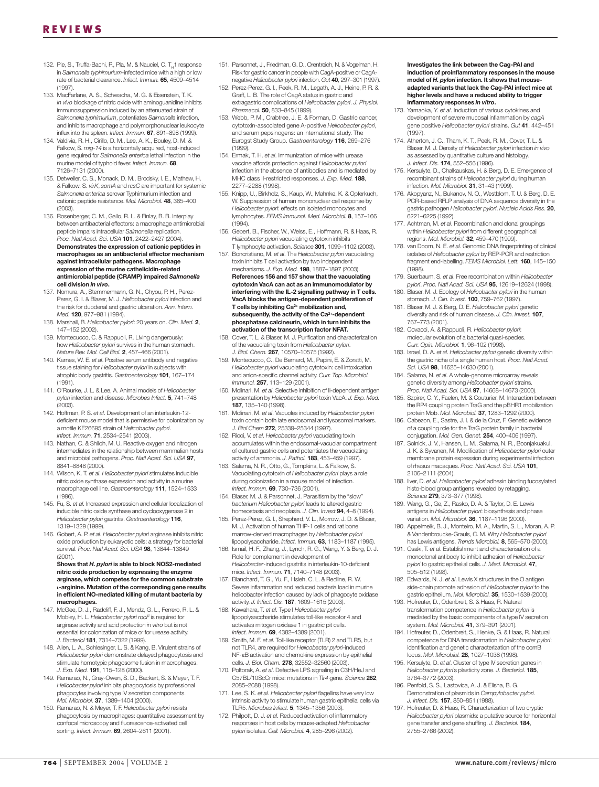- 132. Pie, S., Truffa-Bachi, P., Pla, M. & Nauciel, C. T<sub>H</sub>1 response in *Salmonella typhimurium*-infected mice with a high or low rate of bacterial clearance. *Infect. Immun.* **65**, 4509–4514 (1997).
- 133. MacFarlane, A. S., Schwacha, M. G. & Eisenstein, T. K. *In vivo* blockage of nitric oxide with aminoguanidine inhibits immunosuppression induced by an attenuated strain of *Salmonella typhimurium*, potentiates *Salmonella* infection, and inhibits macrophage and polymorphonuclear leukocyte influx into the spleen. *Infect. Immun.* **67**, 891–898 (1999).
- 134. Valdivia, R. H., Cirillo, D. M., Lee, A. K., Bouley, D. M. & Falkow, S. *mig-14* is a horizontally acquired, host-induced gene required for *Salmonella enterica* lethal infection in the murine model of typhoid fever. *Infect. Immun.* **68**, 7126–7131 (2000).
- 135. Detweiler, C. S., Monack, D. M., Brodsky, I. E., Mathew, H. & Falkow, S. *virK*, *somA* and *rcsC* are important for systemic *Salmonella enterica* serovar Typhimurium infection and cationic peptide resistance. *Mol. Microbiol.* **48**, 385–400 (2003).
- 136. Rosenberger, C. M., Gallo, R. L. & Finlay, B. B. Interplay between antibacterial effectors: a macrophage antimicrobial peptide impairs intracellular *Salmonella* replication. *Proc. Natl Acad. Sci. USA* **101**, 2422–2427 (2004). **Demonstrates the expression of cationic peptides in macrophages as an antibacterial effector mechanism against intracellular pathogens. Macrophage expression of the murine cathelicidin-related antimicrobial peptide (CRAMP) impaired** *Salmonella* **cell division** *in vivo***.**
- 137. Nomura, A., Stemmermann, G. N., Chyou, P. H., Perez-Perez, G. I. & Blaser, M. J. *Helicobacter pylori* infection and the risk for duodenal and gastric ulceration. *Ann. Intern. Med.* **120**, 977–981 (1994).
- 138. Marshall, B. *Helicobacter pylori*: 20 years on. *Clin. Med.* **2**, 147–152 (2002).
- 139. Montecucco, C. & Rappuoli, R. Living dangerously: how *Helicobacter pylori* survives in the human stomach. *Nature Rev. Mol. Cell Biol.* **2**, 457–466 (2001).
- 140. Karnes, W. E. *et al*. Positive serum antibody and negative tissue staining for *Helicobacter pylori* in subjects with atrophic body gastritis. *Gastroenterology* **101**, 167–174  $(1991)$
- 141. O'Rourke, J. L. & Lee, A. Animal models of *Helicobacter pylori* infection and disease. *Microbes Infect.* **5**, 741–748 (2003).
- 142. Hoffman, P. S. *et al*. Development of an interleukin-12 deficient mouse model that is permissive for colonization by a motile KE26695 strain of *Helicobacter pylori*. *Infect. Immun.* **71**, 2534–2541 (2003).
- 143. Nathan, C. & Shiloh, M. U. Reactive oxygen and nitrogen intermediates in the relationship between mammalian hosts and microbial pathogens. *Proc. Natl Acad. Sci. USA* **97**, 8841–8848 (2000).
- 144. Wilson, K. T. *et al*. *Helicobacter pylori* stimulates inducible nitric oxide synthase expression and activity in a murine macrophage cell line. *Gastroenterology* **111**, 1524–1533 (1996).
- 145. Fu, S. *et al*. Increased expression and cellular localization of inducible nitric oxide synthase and cyclooxygenase 2 in *Helicobacter pylori* gastritis. *Gastroenterology* **116**, 1319–1329 (1999).
- 146. Gobert, A. P. *et al*. *Helicobacter pylori* arginase inhibits nitric oxide production by eukaryotic cells: a strategy for bacterial survival. *Proc. Natl Acad. Sci. USA* **98**, 13844–13849 (2001). **Shows that** *H. pylori* **is able to block NOS2-mediated**

#### **nitric oxide production by expressing the enzyme arginase, which competes for the common substrate L-arginine. Mutation of the corresponding gene results in efficient NO-mediated killing of mutant bacteria by macrophages.**

- 147. McGee, D. J., Radcliff, F. J., Mendz, G. L., Ferrero, R. L. & Mobley, H. L. *Helicobacter pylori rocF* is required for arginase activity and acid protection *in vitro* but is not essential for colonization of mice or for urease activity. *J. Bacteriol* **181**, 7314–7322 (1999).
- 148. Allen, L. A., Schlesinger, L. S. & Kang, B. Virulent strains of *Helicobacter pylori* demonstrate delayed phagocytosis and stimulate homotypic phagosome fusion in macrophages. *J. Exp. Med.* **191**, 115–128 (2000).
- 149. Ramarao, N., Gray-Owen, S. D., Backert, S. & Meyer, T. F. *Helicobacter pylori* inhibits phagocytosis by professional phagocytes involving type IV secretion components. *Mol. Microbiol.* **37**, 1389–1404 (2000).
- 150. Ramarao, N. & Meyer, T. F. *Helicobacter pylori* resists phagocytosis by macrophages: quantitative assessment by confocal microscopy and fluorescence-activated cell sorting. *Infect. Immun.* **69**, 2604–2611 (2001).
- 151. Parsonnet, J., Friedman, G. D., Orentreich, N. & Vogelman, H. Risk for gastric cancer in people with CagA-positive or CagAnegative *Helicobacter pylori* infection. *Gut* **40**, 297–301 (1997).
- 152. Perez-Perez, G. I., Peek, R. M., Legath, A. J., Heine, P. R. & Graff, L. B. The role of CagA status in gastric and extragastric complications of *Helicobacter pylori*. *J. Physiol. Pharmacol.* **50**, 833–845 (1999).
- 153. Webb, P. M., Crabtree, J. E. & Forman, D. Gastric cancer, cytotoxin-associated gene A-positive *Helicobacter pylori*, and serum pepsinogens: an international study. The Eurogst Study Group. *Gastroenterology* **116**, 269–276 (1999).
- 154. Ermak, T. H. *et al*. Immunization of mice with urease vaccine affords protection against *Helicobacter pylori* infection in the absence of antibodies and is mediated by MHC class II-restricted responses. *J. Exp. Med.* **188**, 2277–2288 (1998).
- 155. Knipp, U., Birkholz, S., Kaup, W., Mahnke, K. & Opferkuch, W. Suppression of human mononuclear cell response by *Helicobacter pylori*: effects on isolated monocytes and lymphocytes. *FEMS Immunol. Med. Microbiol.* **8**, 157–166 (1994).
- 156. Gebert, B., Fischer, W., Weiss, E., Hoffmann, R. & Haas, R. *Helicobacter pylori* vacuolating cytotoxin inhibits T lymphocyte activation. *Science* **301**, 1099–1102 (2003).
- 157. Boncristiano, M. *et al*. The *Helicobacter pylori* vacuolating toxin inhibits T cell activation by two independent
- mechanisms. *J. Exp. Med.* **198**, 1887–1897 (2003). **References 156 and 157 show that the vacuolating cytotoxin VacA can act as an immunomodulator by interfering with the IL-2 signalling pathway in T cells. VacA blocks the antigen-dependent proliferation of T cells by inhibiting Ca2+ mobilization and,** subsequently, the activity of the Ca<sup>2+</sup>-dependent **phosphatase calcineurin, which in turn inhibits the activation of the transcription factor NFAT.**
- 158. Cover, T. L. & Blaser, M. J. Purification and characterization of the vacuolating toxin from *Helicobacter pylori*. *J. Biol. Chem.* **267**, 10570–10575 (1992).
- 159. Montecucco, C., De Bernard, M., Papini, E. & Zoratti, M. *Helicobacter pylori* vacuolating cytotoxin: cell intoxication and anion-specific channel activity. *Curr. Top. Microbiol. Immunol.* **257**, 113–129 (2001).
- 160. Molinari, M. *et al*. Selective inhibition of Ii-dependent antigen presentation by *Helicobacter pylori* toxin VacA. *J. Exp. Med.* **187**, 135–140 (1998).
- 161. Molinari, M. *et al*. Vacuoles induced by *Helicobacter pylori* toxin contain both late endosomal and lysosomal markers. *J. Biol Chem* **272**, 25339–25344 (1997).
- 162. Ricci, V. *et al*. *Helicobacter pylori* vacuolating toxin accumulates within the endosomal-vacuolar compartment of cultured gastric cells and potentiates the vacuolating activity of ammonia. *J. Pathol.* **183**, 453–459 (1997).
- 163. Salama, N. R., Otto, G., Tompkins, L. & Falkow, S. Vacuolating cytotoxin of *Helicobacter pylori* plays a role during colonization in a mouse model of infection. *Infect. Immun.* **69**, 730–736 (2001).
- 164. Blaser, M. J. & Parsonnet, J. Parasitism by the "slow" *bacterium Helicobacter pylori* leads to altered gastric homeostasis and neoplasia. *J. Clin. Invest* **94**, 4–8 (1994).
- 165. Perez-Perez, G. I., Shepherd, V. L., Morrow, J. D. & Blaser, M. J. Activation of human THP-1 cells and rat bone marrow-derived macrophages by *Helicobacter pylori* lipopolysaccharide. *Infect. Immun.* **63**, 1183–1187 (1995).
- 166. Ismail, H. F., Zhang, J., Lynch, R. G., Wang, Y. & Berg, D. J. Role for complement in development of *Helicobacter*-induced gastritis in interleukin-10-deficient mice. *Infect. Immun.* **71**, 7140–7148 (2003).
- 167. Blanchard, T. G., Yu, F., Hsieh, C. L. & Redline, R. W. Severe inflammation and reduced bacteria load in murine helicobacter infection caused by lack of phagocyte oxidase activity. *J. Infect. Dis.* **187**, 1609–1615 (2003).
- 168. Kawahara, T. *et al*. Type I *Helicobacter pylori* lipopolysaccharide stimulates toll-like receptor 4 and activates mitogen oxidase 1 in gastric pit cells. *Infect. Immun.* **69**, 4382–4389 (2001).
- 169. Smith, M. F. *et al*. Toll-like receptor (TLR) 2 and TLR5, but not TLR4, are required for *Helicobacter pylori*-induced NF-κB activation and chemokine expression by epithelial cells. *J. Biol. Chem.* **278**, 32552–32560 (2003).
- 170. Poltorak, A. *et al*. Defective LPS signaling in C3H/HeJ and C57BL/10ScCr mice: mutations in *Tlr4* gene. *Science* **282**, 2085–2088 (1998).
- 171. Lee, S. K. *et al*. *Helicobacter pylori* flagellins have very low intrinsic activity to stimulate human gastric epithelial cells via TLR5. *Microbes Infect.* **5**, 1345–1356 (2003).
- 172. Philpott, D. J. *et al*. Reduced activation of inflammatory responses in host cells by mouse-adapted *Helicobacter pylori* isolates. *Cell. Microbiol.* **4**, 285–296 (2002).

**Investigates the link between the Cag-PAI and induction of proinflammatory responses in the mouse model of** *H. pylori* **infection. It shows that mouseadapted variants that lack the Cag-PAI infect mice at higher levels and have a reduced ability to trigger inflammatory responses** *in vitro***.** 

- 173. Yamaoka, Y. *et al*. Induction of various cytokines and development of severe mucosal inflammation by *cagA* gene positive *Helicobacter pylori* strains. *Gut* **41**, 442–451 (1997).
- 174. Atherton, J. C., Tham, K. T., Peek, R. M., Cover, T. L. & Blaser, M. J. Density of *Helicobacter pylori* infection *in vivo* as assessed by quantitative culture and histology. *J. Infect. Dis.* **174**, 552–556 (1996).
- 175. Kersulyte, D., Chalkauskas, H. & Berg, D. E. Emergence of recombinant strains of *Helicobacter pylori* during human infection. *Mol. Microbiol.* **31**, 31–43 (1999).
- 176. Akopyanz, N., Bukanov, N. O., Westblom, T. U. & Berg, D. E. PCR-based RFLP analysis of DNA sequence diversity in the gastric pathogen *Helicobacter pylori*. *Nucleic Acids Res.* **20**, 6221–6225 (1992).
- 177. Achtman, M. *et al*. Recombination and clonal groupings within *Helicobacter pylori* from different geographical regions. *Mol. Microbiol.* **32**, 459–470 (1999).
- 178. van Doorn, N. E. *et al*. Genomic DNA fingerprinting of clinical isolates of *Helicobacter pylori* by REP-PCR and restriction fragment end-labelling. *FEMS Microbiol. Lett.* **160**, 145–150 (1998).
- 179. Suerbaum, S. *et al*. Free recombination within *Helicobacter pylori*. *Proc. Natl Acad. Sci. USA* **95**, 12619–12624 (1998). 180. Blaser, M. J. Ecology of *Helicobacter pylori* in the human
- stomach. *J. Clin. Invest.* **100**, 759–762 (1997). 181. Blaser, M. J. & Berg, D. E. *Helicobacter pylori* genetic diversity and risk of human disease. *J. Clin. Invest.* **107**,
- 767–773 (2001). 182. Covacci, A. & Rappuoli, R. *Helicobacter pylori*: molecular evolution of a bacterial quasi-species. *Curr. Opin. Microbiol.* **1**, 96–102 (1998).
- 183. Israel, D. A. *et al*. *Helicobacter pylori* genetic diversity within the gastric niche of a single human host. *Proc. Natl Acad. Sci. USA* **98**, 14625–14630 (2001).
- 184. Salama, N. *et al*. A whole-genome microarray reveals genetic diversity among *Helicobacter pylori* strains. *Proc. Natl Acad. Sci. USA* **97**, 14668–14673 (2000).
- 185. Szpirer, C. Y., Faelen, M. & Couturier, M. Interaction between the RP4 coupling protein TraG and the pBHR1 mobilization protein Mob. *Mol. Microbiol.* **37**, 1283–1292 (2000).
- 186. Cabezon, E., Sastre, J. I. & de la Cruz, F. Genetic evidence of a coupling role for the TraG protein family in bacterial conjugation. *Mol. Gen. Genet.* **254**, 400–406 (1997).
- 187. Solnick, J. V., Hansen, L. M., Salama, N. R., Boonjakuakul, J. K. & Syvanen, M. Modification of *Helicobacter pylori* outer membrane protein expression during experimental infection of rhesus macaques. *Proc. Natl Acad. Sci. USA* **101**, 2106–2111 (2004).
- 188. Ilver, D. *et al*. *Helicobacter pylori* adhesin binding fucosylated histo-blood group antigens revealed by retagging. *Science* **279**, 373–377 (1998).
- 189. Wang, G., Ge, Z., Rasko, D. A. & Taylor, D. E. Lewis antigens in *Helicobacter pylori*: biosynthesis and phase variation. *Mol. Microbiol.* **36**, 1187–1196 (2000).
- 190. Appelmelk, B. J., Monteiro, M. A., Martin, S. L., Moran, A. P. & Vandenbroucke-Grauls, C. M. Why *Helicobacter pylori* has Lewis antigens. *Trends Microbiol.* **8**, 565–570 (2000).
- 191. Osaki, T. *et al*. Establishment and characterisation of a monoclonal antibody to inhibit adhesion of *Helicobacter pylori* to gastric epithelial cells. *J. Med. Microbiol.* **47**, 505–512 (1998).
- 192. Edwards, N. J. *et al*. Lewis X structures in the O antigen side-chain promote adhesion of *Helicobacter pylori* to the gastric epithelium. *Mol. Microbiol.* **35**, 1530–1539 (2000).
- 193. Hofreuter, D., Odenbreit, S. & Haas, R. Natural transformation competence in *Helicobacter pylori* is mediated by the basic components of a type IV secretion system. *Mol. Microbiol.* **41**, 379–391 (2001).
- 194. Hofreuter, D., Odenbreit, S., Henke, G. & Haas, R. Natural competence for DNA transformation in *Helicobacter pylori*: identification and genetic characterization of the comB locus. *Mol. Microbiol.* **28**, 1027–1038 (1998).
- 195. Kersulyte, D. *et al*. Cluster of type IV secretion genes in *Helicobacter pylori*'s plasticity zone. *J. Bacteriol.* **185**, 3764–3772 (2003).
- 196. Penfold, S. S., Lastovica, A. J. & Elisha, B. G. Demonstration of plasmids in *Campylobacter pylori*. *J. Infect. Dis.* **157**, 850–851 (1988).
- 197. Hofreuter, D. & Haas, R. Characterization of two cryptic *Helicobacter pylori* plasmids: a putative source for horizontal gene transfer and gene shuffling. *J. Bacteriol.* **184**, 2755–2766 (2002).